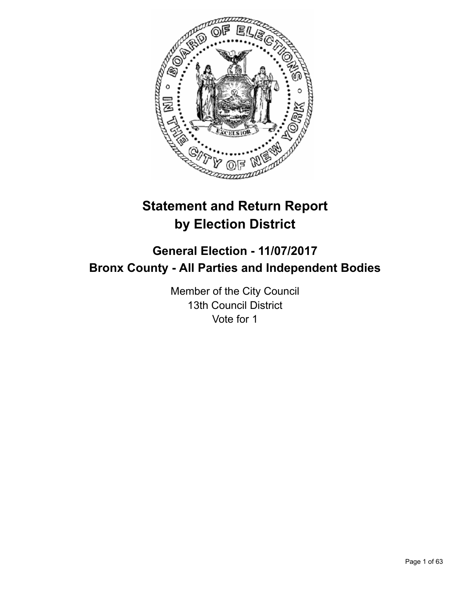

# **Statement and Return Report by Election District**

## **General Election - 11/07/2017 Bronx County - All Parties and Independent Bodies**

Member of the City Council 13th Council District Vote for 1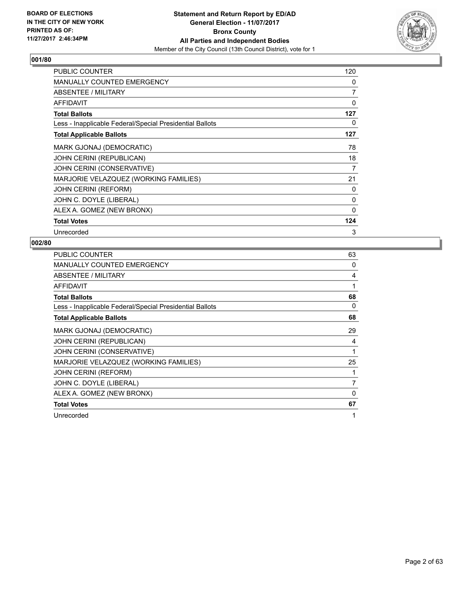

| <b>PUBLIC COUNTER</b>                                    | 120 |
|----------------------------------------------------------|-----|
| MANUALLY COUNTED EMERGENCY                               | 0   |
| ABSENTEE / MILITARY                                      | 7   |
| AFFIDAVIT                                                | 0   |
| <b>Total Ballots</b>                                     | 127 |
| Less - Inapplicable Federal/Special Presidential Ballots | 0   |
| <b>Total Applicable Ballots</b>                          | 127 |
| MARK GJONAJ (DEMOCRATIC)                                 | 78  |
| <b>JOHN CERINI (REPUBLICAN)</b>                          | 18  |
| JOHN CERINI (CONSERVATIVE)                               | 7   |
| MARJORIE VELAZQUEZ (WORKING FAMILIES)                    | 21  |
| <b>JOHN CERINI (REFORM)</b>                              | 0   |
| JOHN C. DOYLE (LIBERAL)                                  | 0   |
| ALEX A. GOMEZ (NEW BRONX)                                | 0   |
| <b>Total Votes</b>                                       | 124 |
| Unrecorded                                               | 3   |

| <b>PUBLIC COUNTER</b>                                    | 63             |
|----------------------------------------------------------|----------------|
| <b>MANUALLY COUNTED EMERGENCY</b>                        | 0              |
| ABSENTEE / MILITARY                                      | 4              |
| <b>AFFIDAVIT</b>                                         | 1              |
| <b>Total Ballots</b>                                     | 68             |
| Less - Inapplicable Federal/Special Presidential Ballots | 0              |
| <b>Total Applicable Ballots</b>                          | 68             |
| MARK GJONAJ (DEMOCRATIC)                                 | 29             |
| JOHN CERINI (REPUBLICAN)                                 | 4              |
| JOHN CERINI (CONSERVATIVE)                               | 1              |
| MARJORIE VELAZQUEZ (WORKING FAMILIES)                    | 25             |
| <b>JOHN CERINI (REFORM)</b>                              |                |
| JOHN C. DOYLE (LIBERAL)                                  | $\overline{7}$ |
| ALEX A. GOMEZ (NEW BRONX)                                | 0              |
| <b>Total Votes</b>                                       | 67             |
| Unrecorded                                               | 1              |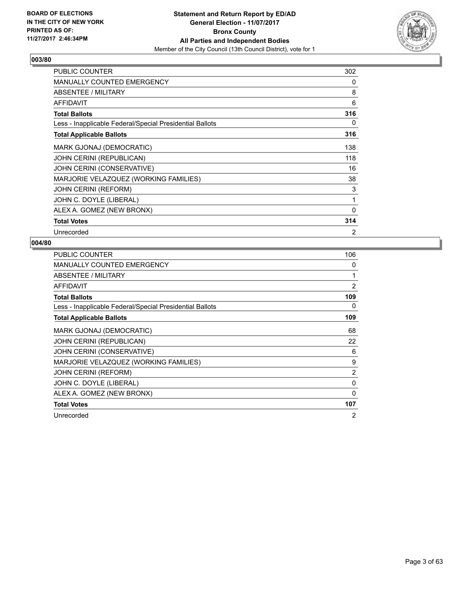

| <b>PUBLIC COUNTER</b>                                    | 302            |
|----------------------------------------------------------|----------------|
| <b>MANUALLY COUNTED EMERGENCY</b>                        | 0              |
| ABSENTEE / MILITARY                                      | 8              |
| <b>AFFIDAVIT</b>                                         | 6              |
| <b>Total Ballots</b>                                     | 316            |
| Less - Inapplicable Federal/Special Presidential Ballots | 0              |
| <b>Total Applicable Ballots</b>                          | 316            |
| MARK GJONAJ (DEMOCRATIC)                                 | 138            |
| <b>JOHN CERINI (REPUBLICAN)</b>                          | 118            |
| JOHN CERINI (CONSERVATIVE)                               | 16             |
| MARJORIE VELAZQUEZ (WORKING FAMILIES)                    | 38             |
| <b>JOHN CERINI (REFORM)</b>                              | 3              |
| JOHN C. DOYLE (LIBERAL)                                  | 1              |
| ALEX A. GOMEZ (NEW BRONX)                                | 0              |
| <b>Total Votes</b>                                       | 314            |
| Unrecorded                                               | $\overline{2}$ |

| <b>PUBLIC COUNTER</b>                                    | 106            |
|----------------------------------------------------------|----------------|
| <b>MANUALLY COUNTED EMERGENCY</b>                        | 0              |
| ABSENTEE / MILITARY                                      |                |
| <b>AFFIDAVIT</b>                                         | $\overline{2}$ |
| <b>Total Ballots</b>                                     | 109            |
| Less - Inapplicable Federal/Special Presidential Ballots | 0              |
| <b>Total Applicable Ballots</b>                          | 109            |
| MARK GJONAJ (DEMOCRATIC)                                 | 68             |
| JOHN CERINI (REPUBLICAN)                                 | 22             |
| JOHN CERINI (CONSERVATIVE)                               | 6              |
| MARJORIE VELAZQUEZ (WORKING FAMILIES)                    | 9              |
| <b>JOHN CERINI (REFORM)</b>                              | $\overline{2}$ |
| JOHN C. DOYLE (LIBERAL)                                  | $\mathbf{0}$   |
| ALEX A. GOMEZ (NEW BRONX)                                | 0              |
| <b>Total Votes</b>                                       | 107            |
| Unrecorded                                               | $\overline{2}$ |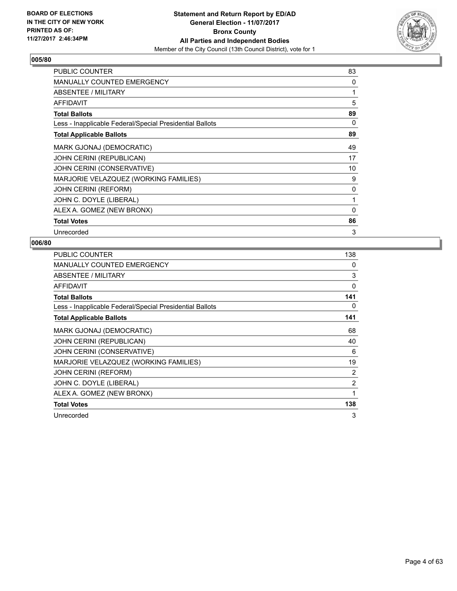

| <b>PUBLIC COUNTER</b>                                    | 83 |
|----------------------------------------------------------|----|
| <b>MANUALLY COUNTED EMERGENCY</b>                        | 0  |
| ABSENTEE / MILITARY                                      | 1  |
| <b>AFFIDAVIT</b>                                         | 5  |
| <b>Total Ballots</b>                                     | 89 |
| Less - Inapplicable Federal/Special Presidential Ballots | 0  |
| <b>Total Applicable Ballots</b>                          | 89 |
| MARK GJONAJ (DEMOCRATIC)                                 | 49 |
| <b>JOHN CERINI (REPUBLICAN)</b>                          | 17 |
| JOHN CERINI (CONSERVATIVE)                               | 10 |
| MARJORIE VELAZQUEZ (WORKING FAMILIES)                    | 9  |
| <b>JOHN CERINI (REFORM)</b>                              | 0  |
| JOHN C. DOYLE (LIBERAL)                                  | 1  |
| ALEX A. GOMEZ (NEW BRONX)                                | 0  |
| <b>Total Votes</b>                                       | 86 |
| Unrecorded                                               | 3  |

| <b>PUBLIC COUNTER</b>                                    | 138            |
|----------------------------------------------------------|----------------|
| <b>MANUALLY COUNTED EMERGENCY</b>                        | 0              |
| ABSENTEE / MILITARY                                      | 3              |
| <b>AFFIDAVIT</b>                                         | 0              |
| <b>Total Ballots</b>                                     | 141            |
| Less - Inapplicable Federal/Special Presidential Ballots | 0              |
| <b>Total Applicable Ballots</b>                          | 141            |
| MARK GJONAJ (DEMOCRATIC)                                 | 68             |
| JOHN CERINI (REPUBLICAN)                                 | 40             |
| JOHN CERINI (CONSERVATIVE)                               | 6              |
| MARJORIE VELAZQUEZ (WORKING FAMILIES)                    | 19             |
| <b>JOHN CERINI (REFORM)</b>                              | 2              |
| JOHN C. DOYLE (LIBERAL)                                  | $\overline{2}$ |
| ALEX A. GOMEZ (NEW BRONX)                                | 1              |
| <b>Total Votes</b>                                       | 138            |
| Unrecorded                                               | 3              |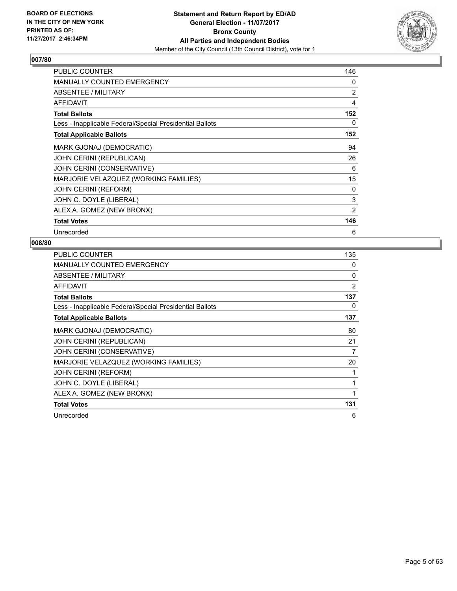

| <b>PUBLIC COUNTER</b>                                    | 146            |
|----------------------------------------------------------|----------------|
| <b>MANUALLY COUNTED EMERGENCY</b>                        | 0              |
| ABSENTEE / MILITARY                                      | 2              |
| <b>AFFIDAVIT</b>                                         | 4              |
| <b>Total Ballots</b>                                     | 152            |
| Less - Inapplicable Federal/Special Presidential Ballots | 0              |
| <b>Total Applicable Ballots</b>                          | 152            |
| MARK GJONAJ (DEMOCRATIC)                                 | 94             |
| <b>JOHN CERINI (REPUBLICAN)</b>                          | 26             |
| JOHN CERINI (CONSERVATIVE)                               | 6              |
| MARJORIE VELAZQUEZ (WORKING FAMILIES)                    | 15             |
| <b>JOHN CERINI (REFORM)</b>                              | $\Omega$       |
| JOHN C. DOYLE (LIBERAL)                                  | 3              |
| ALEX A. GOMEZ (NEW BRONX)                                | $\overline{2}$ |
| <b>Total Votes</b>                                       | 146            |
| Unrecorded                                               | 6              |

| <b>PUBLIC COUNTER</b>                                    | 135 |
|----------------------------------------------------------|-----|
| <b>MANUALLY COUNTED EMERGENCY</b>                        | 0   |
| ABSENTEE / MILITARY                                      | 0   |
| <b>AFFIDAVIT</b>                                         | 2   |
| <b>Total Ballots</b>                                     | 137 |
| Less - Inapplicable Federal/Special Presidential Ballots | 0   |
| <b>Total Applicable Ballots</b>                          | 137 |
| MARK GJONAJ (DEMOCRATIC)                                 | 80  |
| JOHN CERINI (REPUBLICAN)                                 | 21  |
| JOHN CERINI (CONSERVATIVE)                               | 7   |
| MARJORIE VELAZQUEZ (WORKING FAMILIES)                    | 20  |
| <b>JOHN CERINI (REFORM)</b>                              | 1   |
| JOHN C. DOYLE (LIBERAL)                                  | 1   |
| ALEX A. GOMEZ (NEW BRONX)                                | 1   |
| <b>Total Votes</b>                                       | 131 |
| Unrecorded                                               | 6   |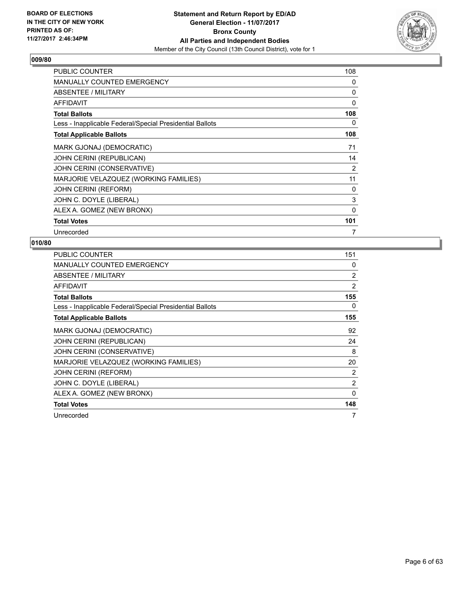

| <b>PUBLIC COUNTER</b>                                    | 108 |
|----------------------------------------------------------|-----|
| <b>MANUALLY COUNTED EMERGENCY</b>                        | 0   |
| ABSENTEE / MILITARY                                      | 0   |
| <b>AFFIDAVIT</b>                                         | 0   |
| <b>Total Ballots</b>                                     | 108 |
| Less - Inapplicable Federal/Special Presidential Ballots | 0   |
| <b>Total Applicable Ballots</b>                          | 108 |
| MARK GJONAJ (DEMOCRATIC)                                 | 71  |
| <b>JOHN CERINI (REPUBLICAN)</b>                          | 14  |
| JOHN CERINI (CONSERVATIVE)                               | 2   |
| MARJORIE VELAZQUEZ (WORKING FAMILIES)                    | 11  |
| <b>JOHN CERINI (REFORM)</b>                              | 0   |
| JOHN C. DOYLE (LIBERAL)                                  | 3   |
| ALEX A. GOMEZ (NEW BRONX)                                | 0   |
| <b>Total Votes</b>                                       | 101 |
| Unrecorded                                               | 7   |

| <b>PUBLIC COUNTER</b>                                    | 151            |
|----------------------------------------------------------|----------------|
| <b>MANUALLY COUNTED EMERGENCY</b>                        | 0              |
| ABSENTEE / MILITARY                                      | 2              |
| AFFIDAVIT                                                | 2              |
| <b>Total Ballots</b>                                     | 155            |
| Less - Inapplicable Federal/Special Presidential Ballots | 0              |
| <b>Total Applicable Ballots</b>                          | 155            |
| MARK GJONAJ (DEMOCRATIC)                                 | 92             |
| JOHN CERINI (REPUBLICAN)                                 | 24             |
| JOHN CERINI (CONSERVATIVE)                               | 8              |
| MARJORIE VELAZQUEZ (WORKING FAMILIES)                    | 20             |
| <b>JOHN CERINI (REFORM)</b>                              | $\overline{2}$ |
| JOHN C. DOYLE (LIBERAL)                                  | 2              |
| ALEX A. GOMEZ (NEW BRONX)                                | 0              |
| <b>Total Votes</b>                                       | 148            |
| Unrecorded                                               | 7              |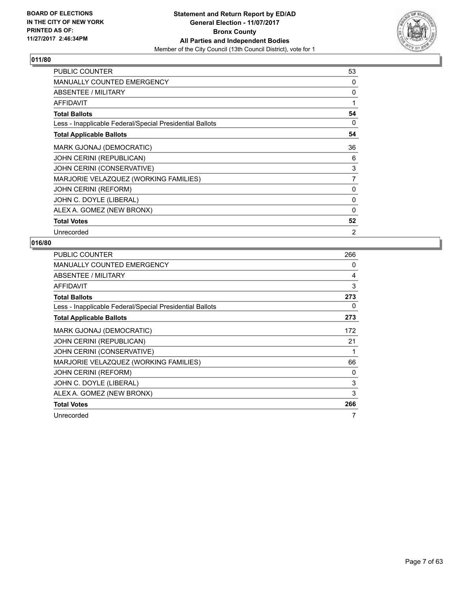

| <b>PUBLIC COUNTER</b>                                    | 53           |
|----------------------------------------------------------|--------------|
| <b>MANUALLY COUNTED EMERGENCY</b>                        | 0            |
| ABSENTEE / MILITARY                                      | 0            |
| <b>AFFIDAVIT</b>                                         | $\mathbf{1}$ |
| <b>Total Ballots</b>                                     | 54           |
| Less - Inapplicable Federal/Special Presidential Ballots | 0            |
| <b>Total Applicable Ballots</b>                          | 54           |
| MARK GJONAJ (DEMOCRATIC)                                 | 36           |
| JOHN CERINI (REPUBLICAN)                                 | 6            |
| JOHN CERINI (CONSERVATIVE)                               | 3            |
| MARJORIE VELAZQUEZ (WORKING FAMILIES)                    | 7            |
| <b>JOHN CERINI (REFORM)</b>                              | 0            |
| JOHN C. DOYLE (LIBERAL)                                  | 0            |
| ALEX A. GOMEZ (NEW BRONX)                                | 0            |
| <b>Total Votes</b>                                       | 52           |
| Unrecorded                                               | 2            |

| <b>PUBLIC COUNTER</b>                                    | 266 |
|----------------------------------------------------------|-----|
| <b>MANUALLY COUNTED EMERGENCY</b>                        | 0   |
| ABSENTEE / MILITARY                                      | 4   |
| AFFIDAVIT                                                | 3   |
| <b>Total Ballots</b>                                     | 273 |
| Less - Inapplicable Federal/Special Presidential Ballots | 0   |
| <b>Total Applicable Ballots</b>                          | 273 |
| MARK GJONAJ (DEMOCRATIC)                                 | 172 |
| JOHN CERINI (REPUBLICAN)                                 | 21  |
| JOHN CERINI (CONSERVATIVE)                               |     |
| MARJORIE VELAZQUEZ (WORKING FAMILIES)                    | 66  |
| <b>JOHN CERINI (REFORM)</b>                              | 0   |
| JOHN C. DOYLE (LIBERAL)                                  | 3   |
| ALEX A. GOMEZ (NEW BRONX)                                | 3   |
| <b>Total Votes</b>                                       | 266 |
| Unrecorded                                               | 7   |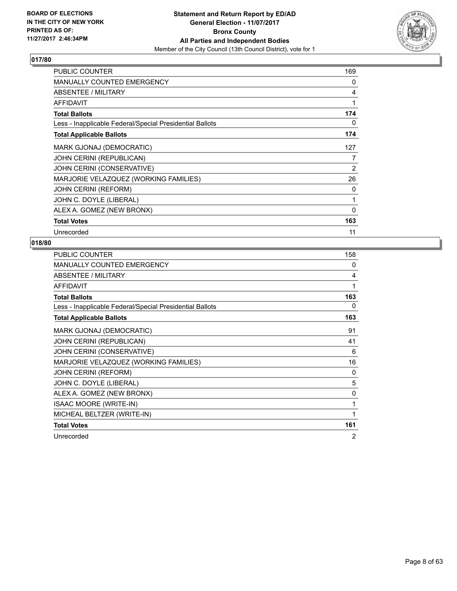

| <b>PUBLIC COUNTER</b>                                    | 169 |
|----------------------------------------------------------|-----|
| <b>MANUALLY COUNTED EMERGENCY</b>                        | 0   |
| ABSENTEE / MILITARY                                      | 4   |
| <b>AFFIDAVIT</b>                                         | 1   |
| <b>Total Ballots</b>                                     | 174 |
| Less - Inapplicable Federal/Special Presidential Ballots | 0   |
| <b>Total Applicable Ballots</b>                          | 174 |
| MARK GJONAJ (DEMOCRATIC)                                 | 127 |
| JOHN CERINI (REPUBLICAN)                                 | 7   |
| JOHN CERINI (CONSERVATIVE)                               | 2   |
| MARJORIE VELAZQUEZ (WORKING FAMILIES)                    | 26  |
| <b>JOHN CERINI (REFORM)</b>                              | 0   |
| JOHN C. DOYLE (LIBERAL)                                  | 1   |
| ALEX A. GOMEZ (NEW BRONX)                                | 0   |
| <b>Total Votes</b>                                       | 163 |
| Unrecorded                                               | 11  |

| <b>PUBLIC COUNTER</b>                                    | 158      |
|----------------------------------------------------------|----------|
| MANUALLY COUNTED EMERGENCY                               | 0        |
| ABSENTEE / MILITARY                                      | 4        |
| <b>AFFIDAVIT</b>                                         | 1        |
| <b>Total Ballots</b>                                     | 163      |
| Less - Inapplicable Federal/Special Presidential Ballots | 0        |
| <b>Total Applicable Ballots</b>                          | 163      |
| MARK GJONAJ (DEMOCRATIC)                                 | 91       |
| JOHN CERINI (REPUBLICAN)                                 | 41       |
| JOHN CERINI (CONSERVATIVE)                               | 6        |
| MARJORIE VELAZQUEZ (WORKING FAMILIES)                    | 16       |
| <b>JOHN CERINI (REFORM)</b>                              | $\Omega$ |
| JOHN C. DOYLE (LIBERAL)                                  | 5        |
| ALEX A. GOMEZ (NEW BRONX)                                | 0        |
| <b>ISAAC MOORE (WRITE-IN)</b>                            | 1        |
| MICHEAL BELTZER (WRITE-IN)                               | 1        |
| <b>Total Votes</b>                                       | 161      |
| Unrecorded                                               | 2        |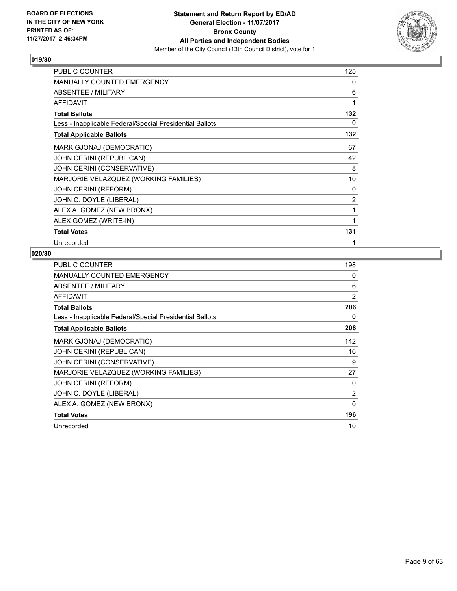

| PUBLIC COUNTER                                           | 125            |
|----------------------------------------------------------|----------------|
| <b>MANUALLY COUNTED EMERGENCY</b>                        | 0              |
| <b>ABSENTEE / MILITARY</b>                               | 6              |
| <b>AFFIDAVIT</b>                                         | 1              |
| <b>Total Ballots</b>                                     | 132            |
| Less - Inapplicable Federal/Special Presidential Ballots | 0              |
| <b>Total Applicable Ballots</b>                          | 132            |
| <b>MARK GJONAJ (DEMOCRATIC)</b>                          | 67             |
| JOHN CERINI (REPUBLICAN)                                 | 42             |
| JOHN CERINI (CONSERVATIVE)                               | 8              |
| MARJORIE VELAZQUEZ (WORKING FAMILIES)                    | 10             |
| <b>JOHN CERINI (REFORM)</b>                              | 0              |
| JOHN C. DOYLE (LIBERAL)                                  | $\overline{2}$ |
| ALEX A. GOMEZ (NEW BRONX)                                | 1              |
| ALEX GOMEZ (WRITE-IN)                                    | 1              |
| <b>Total Votes</b>                                       | 131            |
| Unrecorded                                               | 1              |

| PUBLIC COUNTER                                           | 198            |
|----------------------------------------------------------|----------------|
| <b>MANUALLY COUNTED EMERGENCY</b>                        | 0              |
| ABSENTEE / MILITARY                                      | 6              |
| <b>AFFIDAVIT</b>                                         | $\overline{2}$ |
| <b>Total Ballots</b>                                     | 206            |
| Less - Inapplicable Federal/Special Presidential Ballots | 0              |
| <b>Total Applicable Ballots</b>                          | 206            |
| MARK GJONAJ (DEMOCRATIC)                                 | 142            |
| JOHN CERINI (REPUBLICAN)                                 | 16             |
| JOHN CERINI (CONSERVATIVE)                               | 9              |
| MARJORIE VELAZQUEZ (WORKING FAMILIES)                    | 27             |
| <b>JOHN CERINI (REFORM)</b>                              | 0              |
| JOHN C. DOYLE (LIBERAL)                                  | 2              |
| ALEX A. GOMEZ (NEW BRONX)                                | $\mathbf{0}$   |
| <b>Total Votes</b>                                       | 196            |
| Unrecorded                                               | 10             |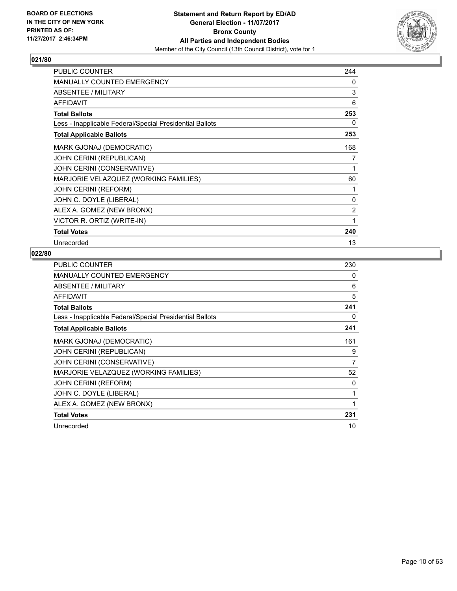

| <b>PUBLIC COUNTER</b>                                    | 244            |
|----------------------------------------------------------|----------------|
| <b>MANUALLY COUNTED EMERGENCY</b>                        | 0              |
| <b>ABSENTEE / MILITARY</b>                               | 3              |
| <b>AFFIDAVIT</b>                                         | 6              |
| <b>Total Ballots</b>                                     | 253            |
| Less - Inapplicable Federal/Special Presidential Ballots | 0              |
| <b>Total Applicable Ballots</b>                          | 253            |
| <b>MARK GJONAJ (DEMOCRATIC)</b>                          | 168            |
| JOHN CERINI (REPUBLICAN)                                 | 7              |
| JOHN CERINI (CONSERVATIVE)                               | 1              |
| MARJORIE VELAZQUEZ (WORKING FAMILIES)                    | 60             |
| <b>JOHN CERINI (REFORM)</b>                              | 1              |
| JOHN C. DOYLE (LIBERAL)                                  | $\mathbf{0}$   |
| ALEX A. GOMEZ (NEW BRONX)                                | $\overline{2}$ |
| VICTOR R. ORTIZ (WRITE-IN)                               | 1              |
| <b>Total Votes</b>                                       | 240            |
| Unrecorded                                               | 13             |

| <b>PUBLIC COUNTER</b>                                    | 230 |
|----------------------------------------------------------|-----|
| <b>MANUALLY COUNTED EMERGENCY</b>                        | 0   |
| ABSENTEE / MILITARY                                      | 6   |
| <b>AFFIDAVIT</b>                                         | 5   |
| <b>Total Ballots</b>                                     | 241 |
| Less - Inapplicable Federal/Special Presidential Ballots | 0   |
| <b>Total Applicable Ballots</b>                          | 241 |
| MARK GJONAJ (DEMOCRATIC)                                 | 161 |
| <b>JOHN CERINI (REPUBLICAN)</b>                          | 9   |
| JOHN CERINI (CONSERVATIVE)                               | 7   |
| MARJORIE VELAZQUEZ (WORKING FAMILIES)                    | 52  |
| <b>JOHN CERINI (REFORM)</b>                              | 0   |
| JOHN C. DOYLE (LIBERAL)                                  | 1   |
| ALEX A. GOMEZ (NEW BRONX)                                | 1   |
| <b>Total Votes</b>                                       | 231 |
| Unrecorded                                               | 10  |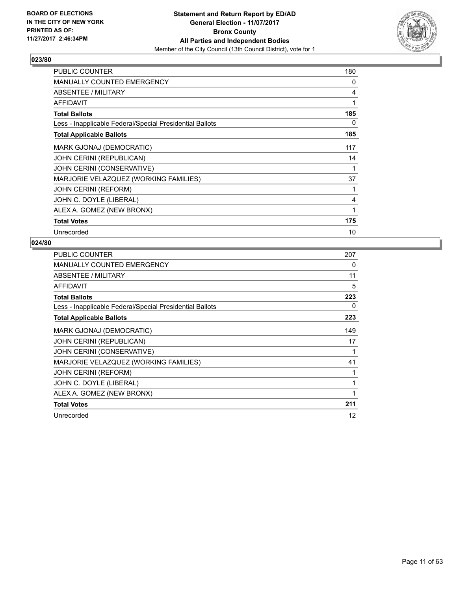

| <b>PUBLIC COUNTER</b>                                    | 180 |
|----------------------------------------------------------|-----|
| <b>MANUALLY COUNTED EMERGENCY</b>                        | 0   |
| ABSENTEE / MILITARY                                      | 4   |
| <b>AFFIDAVIT</b>                                         | 1   |
| <b>Total Ballots</b>                                     | 185 |
| Less - Inapplicable Federal/Special Presidential Ballots | 0   |
| <b>Total Applicable Ballots</b>                          | 185 |
| MARK GJONAJ (DEMOCRATIC)                                 | 117 |
| <b>JOHN CERINI (REPUBLICAN)</b>                          | 14  |
| JOHN CERINI (CONSERVATIVE)                               | 1   |
| MARJORIE VELAZQUEZ (WORKING FAMILIES)                    | 37  |
| <b>JOHN CERINI (REFORM)</b>                              | 1   |
| JOHN C. DOYLE (LIBERAL)                                  | 4   |
| ALEX A. GOMEZ (NEW BRONX)                                | 1   |
| <b>Total Votes</b>                                       | 175 |
| Unrecorded                                               | 10  |

| <b>PUBLIC COUNTER</b>                                    | 207 |
|----------------------------------------------------------|-----|
| <b>MANUALLY COUNTED EMERGENCY</b>                        | 0   |
| ABSENTEE / MILITARY                                      | 11  |
| AFFIDAVIT                                                | 5   |
| <b>Total Ballots</b>                                     | 223 |
| Less - Inapplicable Federal/Special Presidential Ballots | 0   |
| <b>Total Applicable Ballots</b>                          | 223 |
| MARK GJONAJ (DEMOCRATIC)                                 | 149 |
| JOHN CERINI (REPUBLICAN)                                 | 17  |
| JOHN CERINI (CONSERVATIVE)                               |     |
| MARJORIE VELAZQUEZ (WORKING FAMILIES)                    | 41  |
| <b>JOHN CERINI (REFORM)</b>                              |     |
| JOHN C. DOYLE (LIBERAL)                                  | 1   |
| ALEX A. GOMEZ (NEW BRONX)                                |     |
| <b>Total Votes</b>                                       | 211 |
| Unrecorded                                               | 12  |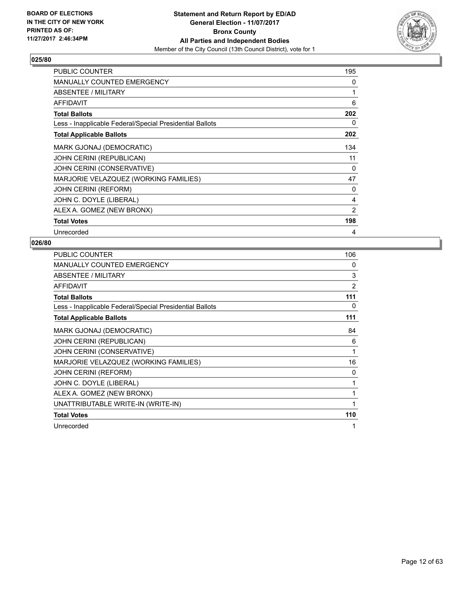

| <b>PUBLIC COUNTER</b>                                    | 195            |
|----------------------------------------------------------|----------------|
| <b>MANUALLY COUNTED EMERGENCY</b>                        | 0              |
| ABSENTEE / MILITARY                                      | 1              |
| <b>AFFIDAVIT</b>                                         | 6              |
| <b>Total Ballots</b>                                     | 202            |
| Less - Inapplicable Federal/Special Presidential Ballots | 0              |
| <b>Total Applicable Ballots</b>                          | 202            |
| MARK GJONAJ (DEMOCRATIC)                                 | 134            |
| <b>JOHN CERINI (REPUBLICAN)</b>                          | 11             |
| JOHN CERINI (CONSERVATIVE)                               | 0              |
| MARJORIE VELAZQUEZ (WORKING FAMILIES)                    | 47             |
| <b>JOHN CERINI (REFORM)</b>                              | 0              |
| JOHN C. DOYLE (LIBERAL)                                  | 4              |
| ALEX A. GOMEZ (NEW BRONX)                                | $\overline{2}$ |
| <b>Total Votes</b>                                       | 198            |
| Unrecorded                                               | 4              |

| <b>PUBLIC COUNTER</b>                                    | 106            |
|----------------------------------------------------------|----------------|
| <b>MANUALLY COUNTED EMERGENCY</b>                        | 0              |
| <b>ABSENTEE / MILITARY</b>                               | 3              |
| <b>AFFIDAVIT</b>                                         | $\overline{2}$ |
| <b>Total Ballots</b>                                     | 111            |
| Less - Inapplicable Federal/Special Presidential Ballots | 0              |
| <b>Total Applicable Ballots</b>                          | 111            |
| MARK GJONAJ (DEMOCRATIC)                                 | 84             |
| JOHN CERINI (REPUBLICAN)                                 | 6              |
| JOHN CERINI (CONSERVATIVE)                               | 1              |
| MARJORIE VELAZQUEZ (WORKING FAMILIES)                    | 16             |
| <b>JOHN CERINI (REFORM)</b>                              | 0              |
| JOHN C. DOYLE (LIBERAL)                                  | 1              |
| ALEX A. GOMEZ (NEW BRONX)                                | 1              |
| UNATTRIBUTABLE WRITE-IN (WRITE-IN)                       | 1              |
| <b>Total Votes</b>                                       | 110            |
| Unrecorded                                               | 1              |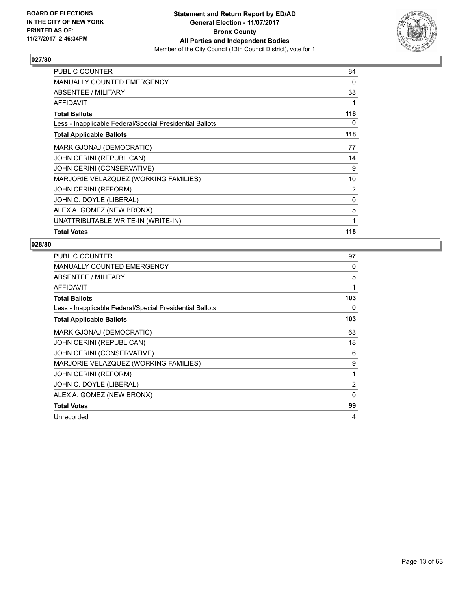

| <b>PUBLIC COUNTER</b>                                    | 84       |
|----------------------------------------------------------|----------|
| <b>MANUALLY COUNTED EMERGENCY</b>                        | $\Omega$ |
| ABSENTEE / MILITARY                                      | 33       |
| <b>AFFIDAVIT</b>                                         | 1        |
| <b>Total Ballots</b>                                     | 118      |
| Less - Inapplicable Federal/Special Presidential Ballots | 0        |
| <b>Total Applicable Ballots</b>                          | 118      |
| MARK GJONAJ (DEMOCRATIC)                                 | 77       |
| <b>JOHN CERINI (REPUBLICAN)</b>                          | 14       |
| JOHN CERINI (CONSERVATIVE)                               | 9        |
| MARJORIE VELAZQUEZ (WORKING FAMILIES)                    | 10       |
| <b>JOHN CERINI (REFORM)</b>                              | 2        |
| JOHN C. DOYLE (LIBERAL)                                  | 0        |
| ALEX A. GOMEZ (NEW BRONX)                                | 5        |
| UNATTRIBUTABLE WRITE-IN (WRITE-IN)                       | 1        |
| <b>Total Votes</b>                                       | 118      |

| <b>PUBLIC COUNTER</b>                                    | 97             |
|----------------------------------------------------------|----------------|
| MANUALLY COUNTED EMERGENCY                               | 0              |
| ABSENTEE / MILITARY                                      | 5              |
| AFFIDAVIT                                                | 1              |
| <b>Total Ballots</b>                                     | 103            |
| Less - Inapplicable Federal/Special Presidential Ballots | 0              |
| <b>Total Applicable Ballots</b>                          | 103            |
| MARK GJONAJ (DEMOCRATIC)                                 | 63             |
| <b>JOHN CERINI (REPUBLICAN)</b>                          | 18             |
| JOHN CERINI (CONSERVATIVE)                               | 6              |
| MARJORIE VELAZQUEZ (WORKING FAMILIES)                    | 9              |
| <b>JOHN CERINI (REFORM)</b>                              | 1              |
| JOHN C. DOYLE (LIBERAL)                                  | $\overline{2}$ |
| ALEX A. GOMEZ (NEW BRONX)                                | 0              |
| <b>Total Votes</b>                                       | 99             |
| Unrecorded                                               | 4              |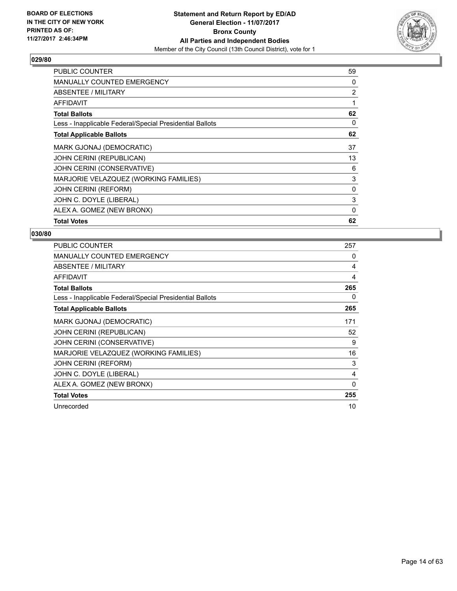

| <b>PUBLIC COUNTER</b>                                    | 59           |
|----------------------------------------------------------|--------------|
| <b>MANUALLY COUNTED EMERGENCY</b>                        | 0            |
| ABSENTEE / MILITARY                                      | 2            |
| AFFIDAVIT                                                | 1            |
| <b>Total Ballots</b>                                     | 62           |
| Less - Inapplicable Federal/Special Presidential Ballots | 0            |
| <b>Total Applicable Ballots</b>                          | 62           |
| MARK GJONAJ (DEMOCRATIC)                                 | 37           |
| <b>JOHN CERINI (REPUBLICAN)</b>                          | 13           |
| JOHN CERINI (CONSERVATIVE)                               | 6            |
| MARJORIE VELAZQUEZ (WORKING FAMILIES)                    | 3            |
| <b>JOHN CERINI (REFORM)</b>                              | 0            |
| JOHN C. DOYLE (LIBERAL)                                  | 3            |
| ALEX A. GOMEZ (NEW BRONX)                                | $\mathbf{0}$ |
| <b>Total Votes</b>                                       | 62           |

| <b>PUBLIC COUNTER</b>                                    | 257      |
|----------------------------------------------------------|----------|
| <b>MANUALLY COUNTED EMERGENCY</b>                        | 0        |
| ABSENTEE / MILITARY                                      | 4        |
| AFFIDAVIT                                                | 4        |
| <b>Total Ballots</b>                                     | 265      |
| Less - Inapplicable Federal/Special Presidential Ballots | 0        |
| <b>Total Applicable Ballots</b>                          | 265      |
| MARK GJONAJ (DEMOCRATIC)                                 | 171      |
| <b>JOHN CERINI (REPUBLICAN)</b>                          | 52       |
| JOHN CERINI (CONSERVATIVE)                               | 9        |
| MARJORIE VELAZQUEZ (WORKING FAMILIES)                    | 16       |
| <b>JOHN CERINI (REFORM)</b>                              | 3        |
| JOHN C. DOYLE (LIBERAL)                                  | 4        |
| ALEX A. GOMEZ (NEW BRONX)                                | $\Omega$ |
| <b>Total Votes</b>                                       | 255      |
| Unrecorded                                               | 10       |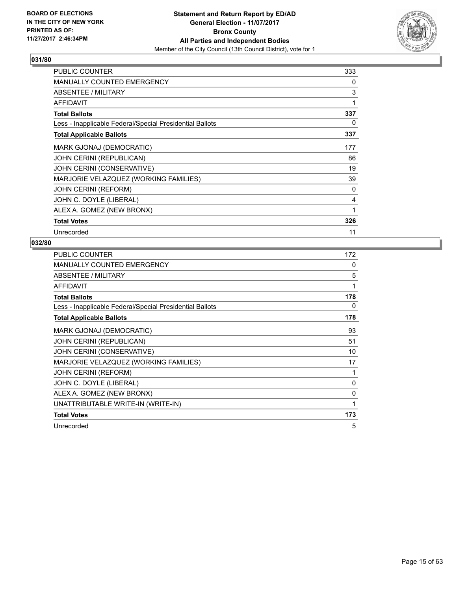

| <b>PUBLIC COUNTER</b>                                    | 333          |
|----------------------------------------------------------|--------------|
| <b>MANUALLY COUNTED EMERGENCY</b>                        | 0            |
| ABSENTEE / MILITARY                                      | 3            |
| <b>AFFIDAVIT</b>                                         | $\mathbf{1}$ |
| <b>Total Ballots</b>                                     | 337          |
| Less - Inapplicable Federal/Special Presidential Ballots | 0            |
| <b>Total Applicable Ballots</b>                          | 337          |
| MARK GJONAJ (DEMOCRATIC)                                 | 177          |
| <b>JOHN CERINI (REPUBLICAN)</b>                          | 86           |
| JOHN CERINI (CONSERVATIVE)                               | 19           |
| MARJORIE VELAZQUEZ (WORKING FAMILIES)                    | 39           |
| <b>JOHN CERINI (REFORM)</b>                              | 0            |
| JOHN C. DOYLE (LIBERAL)                                  | 4            |
| ALEX A. GOMEZ (NEW BRONX)                                | 1            |
| <b>Total Votes</b>                                       | 326          |
| Unrecorded                                               | 11           |

| <b>PUBLIC COUNTER</b>                                    | 172          |
|----------------------------------------------------------|--------------|
| <b>MANUALLY COUNTED EMERGENCY</b>                        | 0            |
| <b>ABSENTEE / MILITARY</b>                               | 5            |
| <b>AFFIDAVIT</b>                                         | 1            |
| <b>Total Ballots</b>                                     | 178          |
| Less - Inapplicable Federal/Special Presidential Ballots | 0            |
| <b>Total Applicable Ballots</b>                          | 178          |
| MARK GJONAJ (DEMOCRATIC)                                 | 93           |
| JOHN CERINI (REPUBLICAN)                                 | 51           |
| JOHN CERINI (CONSERVATIVE)                               | 10           |
| MARJORIE VELAZQUEZ (WORKING FAMILIES)                    | 17           |
| <b>JOHN CERINI (REFORM)</b>                              | 1            |
| JOHN C. DOYLE (LIBERAL)                                  | 0            |
| ALEX A. GOMEZ (NEW BRONX)                                | $\mathbf{0}$ |
| UNATTRIBUTABLE WRITE-IN (WRITE-IN)                       | 1            |
| <b>Total Votes</b>                                       | 173          |
| Unrecorded                                               | 5            |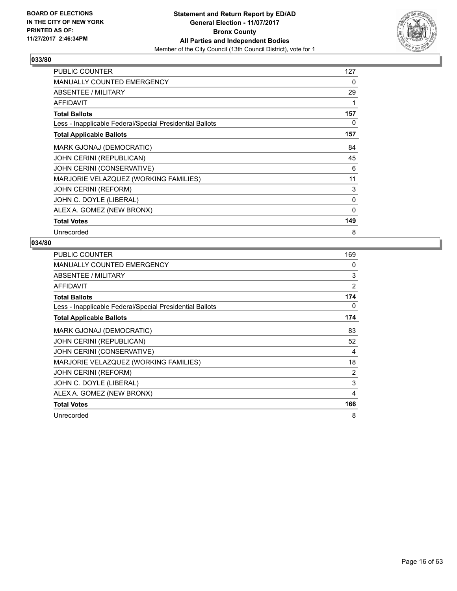

| <b>PUBLIC COUNTER</b>                                    | 127 |
|----------------------------------------------------------|-----|
| <b>MANUALLY COUNTED EMERGENCY</b>                        | 0   |
| ABSENTEE / MILITARY                                      | 29  |
| <b>AFFIDAVIT</b>                                         | 1   |
| <b>Total Ballots</b>                                     | 157 |
| Less - Inapplicable Federal/Special Presidential Ballots | 0   |
| <b>Total Applicable Ballots</b>                          | 157 |
| MARK GJONAJ (DEMOCRATIC)                                 | 84  |
| <b>JOHN CERINI (REPUBLICAN)</b>                          | 45  |
| JOHN CERINI (CONSERVATIVE)                               | 6   |
| MARJORIE VELAZQUEZ (WORKING FAMILIES)                    | 11  |
| <b>JOHN CERINI (REFORM)</b>                              | 3   |
| JOHN C. DOYLE (LIBERAL)                                  | 0   |
| ALEX A. GOMEZ (NEW BRONX)                                | 0   |
| <b>Total Votes</b>                                       | 149 |
| Unrecorded                                               | 8   |

| <b>PUBLIC COUNTER</b>                                    | 169            |
|----------------------------------------------------------|----------------|
| <b>MANUALLY COUNTED EMERGENCY</b>                        | 0              |
| ABSENTEE / MILITARY                                      | 3              |
| <b>AFFIDAVIT</b>                                         | $\overline{2}$ |
| <b>Total Ballots</b>                                     | 174            |
| Less - Inapplicable Federal/Special Presidential Ballots | 0              |
| <b>Total Applicable Ballots</b>                          | 174            |
| MARK GJONAJ (DEMOCRATIC)                                 | 83             |
| JOHN CERINI (REPUBLICAN)                                 | 52             |
| JOHN CERINI (CONSERVATIVE)                               | 4              |
| MARJORIE VELAZQUEZ (WORKING FAMILIES)                    | 18             |
| <b>JOHN CERINI (REFORM)</b>                              | $\overline{2}$ |
| JOHN C. DOYLE (LIBERAL)                                  | 3              |
| ALEX A. GOMEZ (NEW BRONX)                                | 4              |
| <b>Total Votes</b>                                       | 166            |
| Unrecorded                                               | 8              |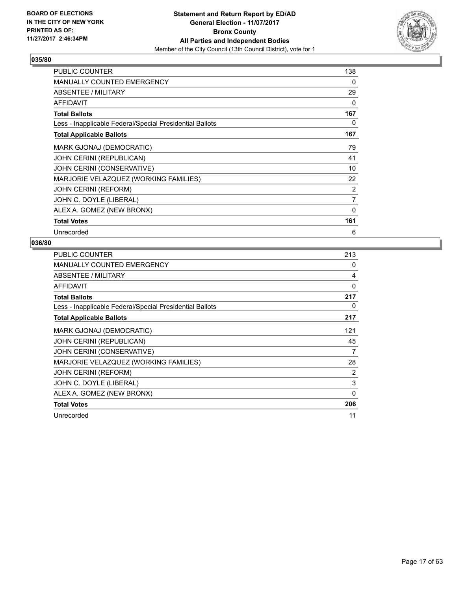

| <b>PUBLIC COUNTER</b>                                    | 138 |
|----------------------------------------------------------|-----|
| <b>MANUALLY COUNTED EMERGENCY</b>                        | 0   |
| ABSENTEE / MILITARY                                      | 29  |
| <b>AFFIDAVIT</b>                                         | 0   |
| <b>Total Ballots</b>                                     | 167 |
| Less - Inapplicable Federal/Special Presidential Ballots | 0   |
| <b>Total Applicable Ballots</b>                          | 167 |
| MARK GJONAJ (DEMOCRATIC)                                 | 79  |
| <b>JOHN CERINI (REPUBLICAN)</b>                          | 41  |
| JOHN CERINI (CONSERVATIVE)                               | 10  |
| MARJORIE VELAZQUEZ (WORKING FAMILIES)                    | 22  |
| <b>JOHN CERINI (REFORM)</b>                              | 2   |
| JOHN C. DOYLE (LIBERAL)                                  | 7   |
| ALEX A. GOMEZ (NEW BRONX)                                | 0   |
| <b>Total Votes</b>                                       | 161 |
| Unrecorded                                               | 6   |

| <b>PUBLIC COUNTER</b>                                    | 213 |
|----------------------------------------------------------|-----|
| <b>MANUALLY COUNTED EMERGENCY</b>                        | 0   |
| ABSENTEE / MILITARY                                      | 4   |
| <b>AFFIDAVIT</b>                                         | 0   |
| <b>Total Ballots</b>                                     | 217 |
| Less - Inapplicable Federal/Special Presidential Ballots | 0   |
| <b>Total Applicable Ballots</b>                          | 217 |
| MARK GJONAJ (DEMOCRATIC)                                 | 121 |
| JOHN CERINI (REPUBLICAN)                                 | 45  |
| JOHN CERINI (CONSERVATIVE)                               | 7   |
| MARJORIE VELAZQUEZ (WORKING FAMILIES)                    | 28  |
| <b>JOHN CERINI (REFORM)</b>                              | 2   |
| JOHN C. DOYLE (LIBERAL)                                  | 3   |
| ALEX A. GOMEZ (NEW BRONX)                                | 0   |
| <b>Total Votes</b>                                       | 206 |
| Unrecorded                                               | 11  |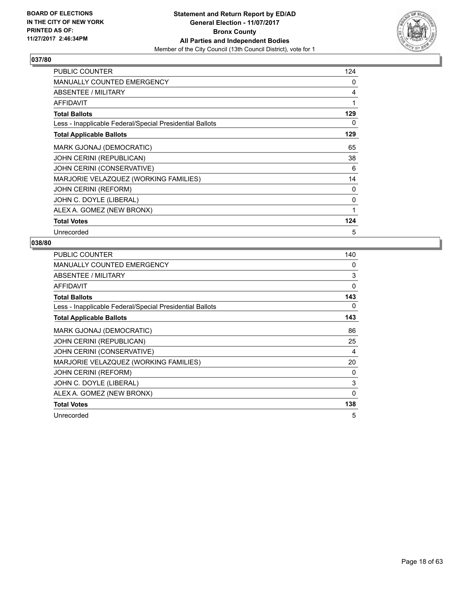

| <b>PUBLIC COUNTER</b>                                    | 124          |
|----------------------------------------------------------|--------------|
| <b>MANUALLY COUNTED EMERGENCY</b>                        | 0            |
| ABSENTEE / MILITARY                                      | 4            |
| <b>AFFIDAVIT</b>                                         | $\mathbf{1}$ |
| <b>Total Ballots</b>                                     | 129          |
| Less - Inapplicable Federal/Special Presidential Ballots | 0            |
| <b>Total Applicable Ballots</b>                          | 129          |
| MARK GJONAJ (DEMOCRATIC)                                 | 65           |
| <b>JOHN CERINI (REPUBLICAN)</b>                          | 38           |
| JOHN CERINI (CONSERVATIVE)                               | 6            |
| MARJORIE VELAZQUEZ (WORKING FAMILIES)                    | 14           |
| <b>JOHN CERINI (REFORM)</b>                              | $\Omega$     |
| JOHN C. DOYLE (LIBERAL)                                  | 0            |
| ALEX A. GOMEZ (NEW BRONX)                                | 1            |
| <b>Total Votes</b>                                       | 124          |
| Unrecorded                                               | 5            |

| <b>PUBLIC COUNTER</b>                                    | 140 |
|----------------------------------------------------------|-----|
| <b>MANUALLY COUNTED EMERGENCY</b>                        | 0   |
| ABSENTEE / MILITARY                                      | 3   |
| <b>AFFIDAVIT</b>                                         | 0   |
| <b>Total Ballots</b>                                     | 143 |
| Less - Inapplicable Federal/Special Presidential Ballots | 0   |
| <b>Total Applicable Ballots</b>                          | 143 |
| MARK GJONAJ (DEMOCRATIC)                                 | 86  |
| JOHN CERINI (REPUBLICAN)                                 | 25  |
| JOHN CERINI (CONSERVATIVE)                               | 4   |
| MARJORIE VELAZQUEZ (WORKING FAMILIES)                    | 20  |
| <b>JOHN CERINI (REFORM)</b>                              | 0   |
| JOHN C. DOYLE (LIBERAL)                                  | 3   |
| ALEX A. GOMEZ (NEW BRONX)                                | 0   |
| <b>Total Votes</b>                                       | 138 |
| Unrecorded                                               | 5   |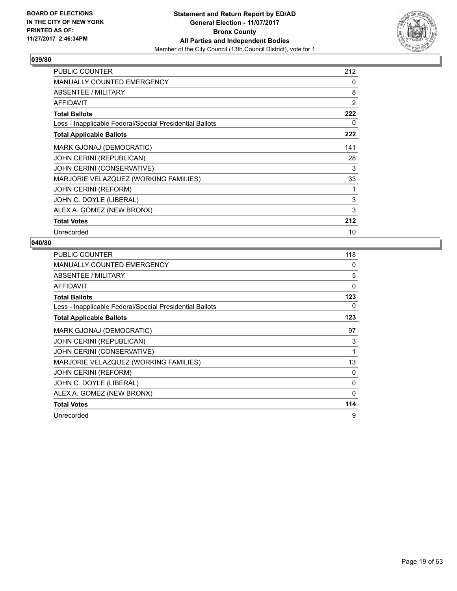

| <b>PUBLIC COUNTER</b>                                    | 212 |
|----------------------------------------------------------|-----|
| <b>MANUALLY COUNTED EMERGENCY</b>                        | 0   |
| ABSENTEE / MILITARY                                      | 8   |
| <b>AFFIDAVIT</b>                                         | 2   |
| <b>Total Ballots</b>                                     | 222 |
| Less - Inapplicable Federal/Special Presidential Ballots | 0   |
| <b>Total Applicable Ballots</b>                          | 222 |
| MARK GJONAJ (DEMOCRATIC)                                 | 141 |
| JOHN CERINI (REPUBLICAN)                                 | 28  |
| JOHN CERINI (CONSERVATIVE)                               | 3   |
| MARJORIE VELAZQUEZ (WORKING FAMILIES)                    | 33  |
| <b>JOHN CERINI (REFORM)</b>                              | 1   |
| JOHN C. DOYLE (LIBERAL)                                  | 3   |
| ALEX A. GOMEZ (NEW BRONX)                                | 3   |
| <b>Total Votes</b>                                       | 212 |
| Unrecorded                                               | 10  |

| <b>PUBLIC COUNTER</b>                                    | 118      |
|----------------------------------------------------------|----------|
| <b>MANUALLY COUNTED EMERGENCY</b>                        | 0        |
| ABSENTEE / MILITARY                                      | 5        |
| <b>AFFIDAVIT</b>                                         | $\Omega$ |
| <b>Total Ballots</b>                                     | 123      |
| Less - Inapplicable Federal/Special Presidential Ballots | 0        |
| <b>Total Applicable Ballots</b>                          | 123      |
| MARK GJONAJ (DEMOCRATIC)                                 | 97       |
| JOHN CERINI (REPUBLICAN)                                 | 3        |
| JOHN CERINI (CONSERVATIVE)                               | 1        |
| MARJORIE VELAZQUEZ (WORKING FAMILIES)                    | 13       |
| <b>JOHN CERINI (REFORM)</b>                              | 0        |
| JOHN C. DOYLE (LIBERAL)                                  | 0        |
| ALEX A. GOMEZ (NEW BRONX)                                | 0        |
| <b>Total Votes</b>                                       | 114      |
| Unrecorded                                               | 9        |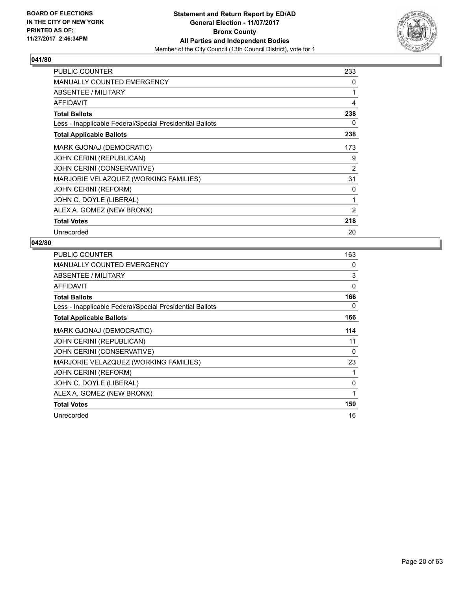

| <b>PUBLIC COUNTER</b>                                    | 233 |
|----------------------------------------------------------|-----|
| <b>MANUALLY COUNTED EMERGENCY</b>                        | 0   |
| ABSENTEE / MILITARY                                      | 1   |
| <b>AFFIDAVIT</b>                                         | 4   |
| <b>Total Ballots</b>                                     | 238 |
| Less - Inapplicable Federal/Special Presidential Ballots | 0   |
| <b>Total Applicable Ballots</b>                          | 238 |
| MARK GJONAJ (DEMOCRATIC)                                 | 173 |
| JOHN CERINI (REPUBLICAN)                                 | 9   |
| JOHN CERINI (CONSERVATIVE)                               | 2   |
| MARJORIE VELAZQUEZ (WORKING FAMILIES)                    | 31  |
| <b>JOHN CERINI (REFORM)</b>                              | 0   |
| JOHN C. DOYLE (LIBERAL)                                  | 1   |
| ALEX A. GOMEZ (NEW BRONX)                                | 2   |
| <b>Total Votes</b>                                       | 218 |
| Unrecorded                                               | 20  |

| <b>PUBLIC COUNTER</b>                                    | 163      |
|----------------------------------------------------------|----------|
| <b>MANUALLY COUNTED EMERGENCY</b>                        | 0        |
| ABSENTEE / MILITARY                                      | 3        |
| <b>AFFIDAVIT</b>                                         | 0        |
| <b>Total Ballots</b>                                     | 166      |
| Less - Inapplicable Federal/Special Presidential Ballots | 0        |
| <b>Total Applicable Ballots</b>                          | 166      |
| MARK GJONAJ (DEMOCRATIC)                                 | 114      |
| <b>JOHN CERINI (REPUBLICAN)</b>                          | 11       |
| JOHN CERINI (CONSERVATIVE)                               | $\Omega$ |
| MARJORIE VELAZQUEZ (WORKING FAMILIES)                    | 23       |
| <b>JOHN CERINI (REFORM)</b>                              | 1        |
| JOHN C. DOYLE (LIBERAL)                                  | 0        |
| ALEX A. GOMEZ (NEW BRONX)                                | 1        |
| <b>Total Votes</b>                                       | 150      |
| Unrecorded                                               | 16       |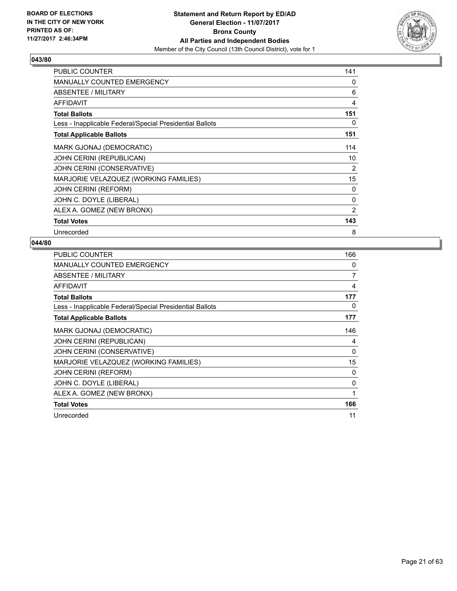

| <b>PUBLIC COUNTER</b>                                    | 141 |
|----------------------------------------------------------|-----|
| <b>MANUALLY COUNTED EMERGENCY</b>                        | 0   |
| ABSENTEE / MILITARY                                      | 6   |
| <b>AFFIDAVIT</b>                                         | 4   |
| <b>Total Ballots</b>                                     | 151 |
| Less - Inapplicable Federal/Special Presidential Ballots | 0   |
| <b>Total Applicable Ballots</b>                          | 151 |
| MARK GJONAJ (DEMOCRATIC)                                 | 114 |
| JOHN CERINI (REPUBLICAN)                                 | 10  |
| JOHN CERINI (CONSERVATIVE)                               | 2   |
| MARJORIE VELAZQUEZ (WORKING FAMILIES)                    | 15  |
| <b>JOHN CERINI (REFORM)</b>                              | 0   |
| JOHN C. DOYLE (LIBERAL)                                  | 0   |
| ALEX A. GOMEZ (NEW BRONX)                                | 2   |
| <b>Total Votes</b>                                       | 143 |
| Unrecorded                                               | 8   |

| <b>PUBLIC COUNTER</b>                                    | 166      |
|----------------------------------------------------------|----------|
| <b>MANUALLY COUNTED EMERGENCY</b>                        | 0        |
| ABSENTEE / MILITARY                                      | 7        |
| AFFIDAVIT                                                | 4        |
| <b>Total Ballots</b>                                     | 177      |
| Less - Inapplicable Federal/Special Presidential Ballots | 0        |
| <b>Total Applicable Ballots</b>                          | 177      |
| MARK GJONAJ (DEMOCRATIC)                                 | 146      |
| JOHN CERINI (REPUBLICAN)                                 | 4        |
| JOHN CERINI (CONSERVATIVE)                               | $\Omega$ |
| MARJORIE VELAZQUEZ (WORKING FAMILIES)                    | 15       |
| <b>JOHN CERINI (REFORM)</b>                              | 0        |
| JOHN C. DOYLE (LIBERAL)                                  | 0        |
| ALEX A. GOMEZ (NEW BRONX)                                | 1        |
| <b>Total Votes</b>                                       | 166      |
| Unrecorded                                               | 11       |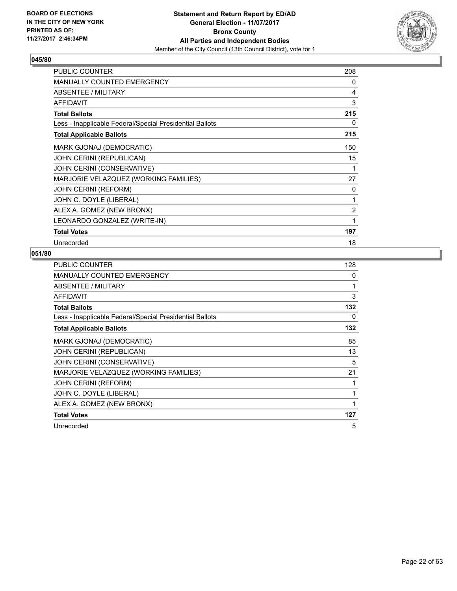

| <b>PUBLIC COUNTER</b>                                    | 208            |
|----------------------------------------------------------|----------------|
| <b>MANUALLY COUNTED EMERGENCY</b>                        | 0              |
| <b>ABSENTEE / MILITARY</b>                               | 4              |
| <b>AFFIDAVIT</b>                                         | 3              |
| <b>Total Ballots</b>                                     | 215            |
| Less - Inapplicable Federal/Special Presidential Ballots | 0              |
| <b>Total Applicable Ballots</b>                          | 215            |
| MARK GJONAJ (DEMOCRATIC)                                 | 150            |
| JOHN CERINI (REPUBLICAN)                                 | 15             |
| JOHN CERINI (CONSERVATIVE)                               | 1              |
| MARJORIE VELAZQUEZ (WORKING FAMILIES)                    | 27             |
| <b>JOHN CERINI (REFORM)</b>                              | 0              |
| JOHN C. DOYLE (LIBERAL)                                  | 1              |
| ALEX A. GOMEZ (NEW BRONX)                                | $\overline{2}$ |
| LEONARDO GONZALEZ (WRITE-IN)                             | 1              |
| <b>Total Votes</b>                                       | 197            |
| Unrecorded                                               | 18             |

| <b>PUBLIC COUNTER</b>                                    | 128 |
|----------------------------------------------------------|-----|
| <b>MANUALLY COUNTED EMERGENCY</b>                        | 0   |
| <b>ABSENTEE / MILITARY</b>                               | 1   |
| <b>AFFIDAVIT</b>                                         | 3   |
| <b>Total Ballots</b>                                     | 132 |
| Less - Inapplicable Federal/Special Presidential Ballots | 0   |
| <b>Total Applicable Ballots</b>                          | 132 |
| MARK GJONAJ (DEMOCRATIC)                                 | 85  |
| JOHN CERINI (REPUBLICAN)                                 | 13  |
| JOHN CERINI (CONSERVATIVE)                               | 5   |
| MARJORIE VELAZQUEZ (WORKING FAMILIES)                    | 21  |
| <b>JOHN CERINI (REFORM)</b>                              | 1   |
| JOHN C. DOYLE (LIBERAL)                                  | 1   |
| ALEX A. GOMEZ (NEW BRONX)                                | 1   |
| <b>Total Votes</b>                                       | 127 |
| Unrecorded                                               | 5   |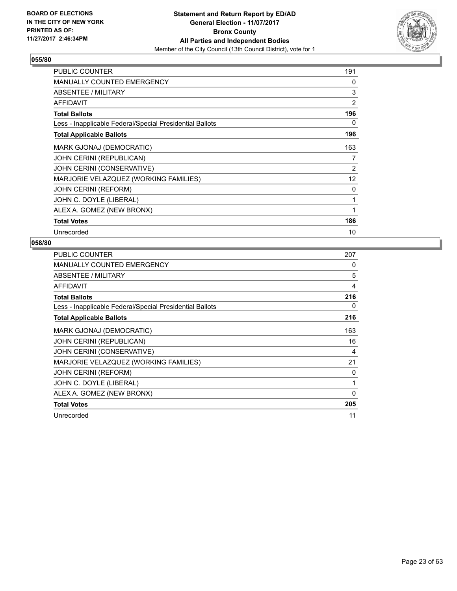

| <b>PUBLIC COUNTER</b>                                    | 191 |
|----------------------------------------------------------|-----|
| <b>MANUALLY COUNTED EMERGENCY</b>                        | 0   |
| ABSENTEE / MILITARY                                      | 3   |
| <b>AFFIDAVIT</b>                                         | 2   |
| <b>Total Ballots</b>                                     | 196 |
| Less - Inapplicable Federal/Special Presidential Ballots | 0   |
| <b>Total Applicable Ballots</b>                          | 196 |
| MARK GJONAJ (DEMOCRATIC)                                 | 163 |
| <b>JOHN CERINI (REPUBLICAN)</b>                          | 7   |
| JOHN CERINI (CONSERVATIVE)                               | 2   |
| MARJORIE VELAZQUEZ (WORKING FAMILIES)                    | 12  |
| <b>JOHN CERINI (REFORM)</b>                              | 0   |
| JOHN C. DOYLE (LIBERAL)                                  | 1   |
| ALEX A. GOMEZ (NEW BRONX)                                | 1   |
| <b>Total Votes</b>                                       | 186 |
| Unrecorded                                               | 10  |

| <b>PUBLIC COUNTER</b>                                    | 207 |
|----------------------------------------------------------|-----|
| <b>MANUALLY COUNTED EMERGENCY</b>                        | 0   |
| ABSENTEE / MILITARY                                      | 5   |
| <b>AFFIDAVIT</b>                                         | 4   |
| <b>Total Ballots</b>                                     | 216 |
| Less - Inapplicable Federal/Special Presidential Ballots | 0   |
| <b>Total Applicable Ballots</b>                          | 216 |
| MARK GJONAJ (DEMOCRATIC)                                 | 163 |
| JOHN CERINI (REPUBLICAN)                                 | 16  |
| JOHN CERINI (CONSERVATIVE)                               | 4   |
| MARJORIE VELAZQUEZ (WORKING FAMILIES)                    | 21  |
| <b>JOHN CERINI (REFORM)</b>                              | 0   |
| JOHN C. DOYLE (LIBERAL)                                  | 1   |
| ALEX A. GOMEZ (NEW BRONX)                                | 0   |
| <b>Total Votes</b>                                       | 205 |
| Unrecorded                                               | 11  |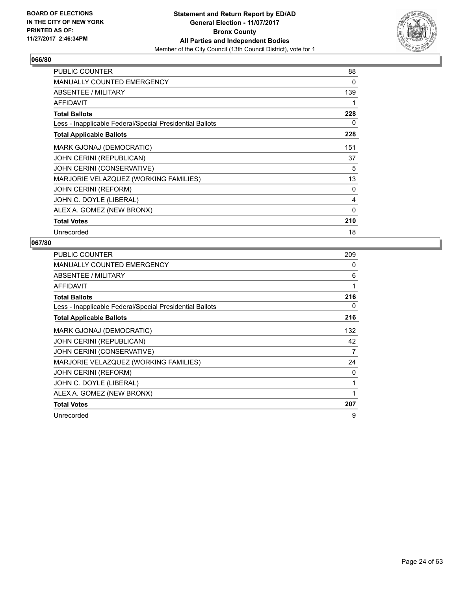

| <b>PUBLIC COUNTER</b>                                    | 88  |
|----------------------------------------------------------|-----|
| <b>MANUALLY COUNTED EMERGENCY</b>                        | 0   |
| ABSENTEE / MILITARY                                      | 139 |
| <b>AFFIDAVIT</b>                                         | 1   |
| <b>Total Ballots</b>                                     | 228 |
| Less - Inapplicable Federal/Special Presidential Ballots | 0   |
| <b>Total Applicable Ballots</b>                          | 228 |
| MARK GJONAJ (DEMOCRATIC)                                 | 151 |
| JOHN CERINI (REPUBLICAN)                                 | 37  |
| JOHN CERINI (CONSERVATIVE)                               | 5   |
| MARJORIE VELAZQUEZ (WORKING FAMILIES)                    | 13  |
| <b>JOHN CERINI (REFORM)</b>                              | 0   |
| JOHN C. DOYLE (LIBERAL)                                  | 4   |
| ALEX A. GOMEZ (NEW BRONX)                                | 0   |
| <b>Total Votes</b>                                       | 210 |
| Unrecorded                                               | 18  |

| PUBLIC COUNTER                                           | 209 |
|----------------------------------------------------------|-----|
| <b>MANUALLY COUNTED EMERGENCY</b>                        | 0   |
| ABSENTEE / MILITARY                                      | 6   |
| AFFIDAVIT                                                | 1   |
| <b>Total Ballots</b>                                     | 216 |
| Less - Inapplicable Federal/Special Presidential Ballots | 0   |
| <b>Total Applicable Ballots</b>                          | 216 |
| MARK GJONAJ (DEMOCRATIC)                                 | 132 |
| JOHN CERINI (REPUBLICAN)                                 | 42  |
| JOHN CERINI (CONSERVATIVE)                               | 7   |
| MARJORIE VELAZQUEZ (WORKING FAMILIES)                    | 24  |
| <b>JOHN CERINI (REFORM)</b>                              | 0   |
| JOHN C. DOYLE (LIBERAL)                                  | 1   |
| ALEX A. GOMEZ (NEW BRONX)                                | 1   |
| <b>Total Votes</b>                                       | 207 |
| Unrecorded                                               | 9   |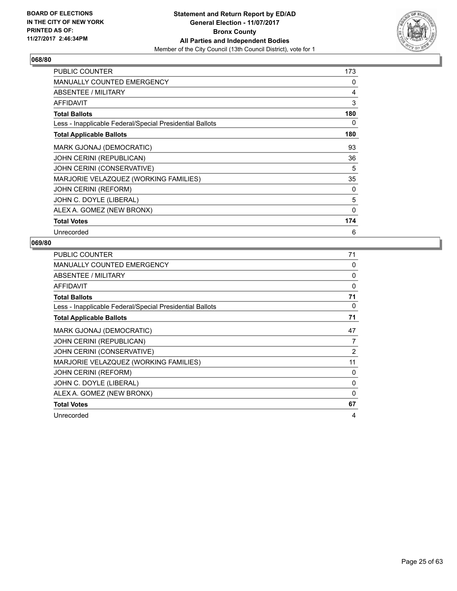

| <b>PUBLIC COUNTER</b>                                    | 173 |
|----------------------------------------------------------|-----|
| <b>MANUALLY COUNTED EMERGENCY</b>                        | 0   |
| ABSENTEE / MILITARY                                      | 4   |
| <b>AFFIDAVIT</b>                                         | 3   |
| <b>Total Ballots</b>                                     | 180 |
| Less - Inapplicable Federal/Special Presidential Ballots | 0   |
| <b>Total Applicable Ballots</b>                          | 180 |
| MARK GJONAJ (DEMOCRATIC)                                 | 93  |
| <b>JOHN CERINI (REPUBLICAN)</b>                          | 36  |
| JOHN CERINI (CONSERVATIVE)                               | 5   |
| MARJORIE VELAZQUEZ (WORKING FAMILIES)                    | 35  |
| <b>JOHN CERINI (REFORM)</b>                              | 0   |
| JOHN C. DOYLE (LIBERAL)                                  | 5   |
| ALEX A. GOMEZ (NEW BRONX)                                | 0   |
| <b>Total Votes</b>                                       | 174 |
| Unrecorded                                               | 6   |

| <b>PUBLIC COUNTER</b>                                    | 71       |
|----------------------------------------------------------|----------|
| <b>MANUALLY COUNTED EMERGENCY</b>                        | 0        |
| ABSENTEE / MILITARY                                      | 0        |
| <b>AFFIDAVIT</b>                                         | $\Omega$ |
| <b>Total Ballots</b>                                     | 71       |
| Less - Inapplicable Federal/Special Presidential Ballots | 0        |
| <b>Total Applicable Ballots</b>                          | 71       |
| MARK GJONAJ (DEMOCRATIC)                                 | 47       |
| JOHN CERINI (REPUBLICAN)                                 | 7        |
| JOHN CERINI (CONSERVATIVE)                               | 2        |
| MARJORIE VELAZQUEZ (WORKING FAMILIES)                    | 11       |
| <b>JOHN CERINI (REFORM)</b>                              | 0        |
| JOHN C. DOYLE (LIBERAL)                                  | $\Omega$ |
| ALEX A. GOMEZ (NEW BRONX)                                | 0        |
| <b>Total Votes</b>                                       | 67       |
| Unrecorded                                               | 4        |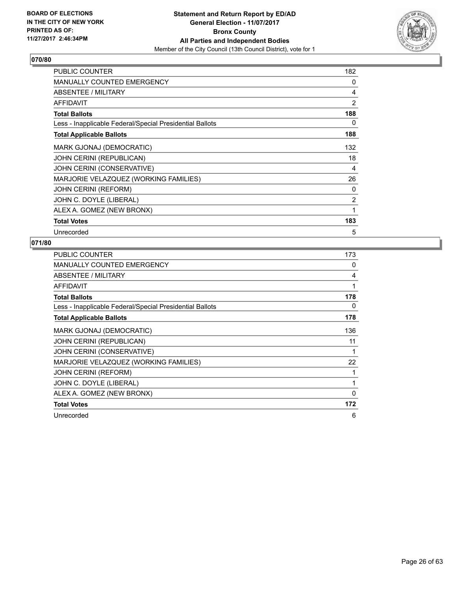

| <b>PUBLIC COUNTER</b>                                    | 182 |
|----------------------------------------------------------|-----|
| <b>MANUALLY COUNTED EMERGENCY</b>                        | 0   |
| ABSENTEE / MILITARY                                      | 4   |
| <b>AFFIDAVIT</b>                                         | 2   |
| <b>Total Ballots</b>                                     | 188 |
| Less - Inapplicable Federal/Special Presidential Ballots | 0   |
| <b>Total Applicable Ballots</b>                          | 188 |
| MARK GJONAJ (DEMOCRATIC)                                 | 132 |
| <b>JOHN CERINI (REPUBLICAN)</b>                          | 18  |
| JOHN CERINI (CONSERVATIVE)                               | 4   |
| MARJORIE VELAZQUEZ (WORKING FAMILIES)                    | 26  |
| <b>JOHN CERINI (REFORM)</b>                              | 0   |
| JOHN C. DOYLE (LIBERAL)                                  | 2   |
| ALEX A. GOMEZ (NEW BRONX)                                | 1   |
| <b>Total Votes</b>                                       | 183 |
| Unrecorded                                               | 5   |

| <b>PUBLIC COUNTER</b>                                    | 173      |
|----------------------------------------------------------|----------|
| <b>MANUALLY COUNTED EMERGENCY</b>                        | 0        |
| ABSENTEE / MILITARY                                      | 4        |
| <b>AFFIDAVIT</b>                                         | 1        |
| <b>Total Ballots</b>                                     | 178      |
| Less - Inapplicable Federal/Special Presidential Ballots | 0        |
| <b>Total Applicable Ballots</b>                          | 178      |
| MARK GJONAJ (DEMOCRATIC)                                 | 136      |
| JOHN CERINI (REPUBLICAN)                                 | 11       |
| JOHN CERINI (CONSERVATIVE)                               | 1        |
| MARJORIE VELAZQUEZ (WORKING FAMILIES)                    | 22       |
| <b>JOHN CERINI (REFORM)</b>                              | 1        |
| JOHN C. DOYLE (LIBERAL)                                  | 1        |
| ALEX A. GOMEZ (NEW BRONX)                                | $\Omega$ |
| <b>Total Votes</b>                                       | 172      |
| Unrecorded                                               | 6        |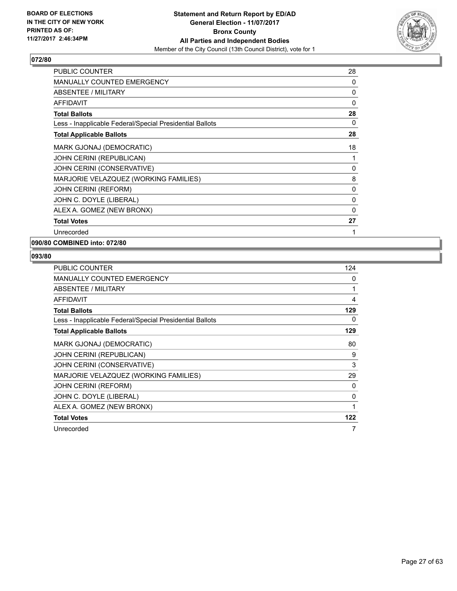

| <b>PUBLIC COUNTER</b>                                    | 28           |
|----------------------------------------------------------|--------------|
| <b>MANUALLY COUNTED EMERGENCY</b>                        | 0            |
| ABSENTEE / MILITARY                                      | 0            |
| AFFIDAVIT                                                | 0            |
| <b>Total Ballots</b>                                     | 28           |
| Less - Inapplicable Federal/Special Presidential Ballots | 0            |
| <b>Total Applicable Ballots</b>                          | 28           |
| MARK GJONAJ (DEMOCRATIC)                                 | 18           |
| JOHN CERINI (REPUBLICAN)                                 | 1            |
| JOHN CERINI (CONSERVATIVE)                               | 0            |
| MARJORIE VELAZQUEZ (WORKING FAMILIES)                    | 8            |
| <b>JOHN CERINI (REFORM)</b>                              | 0            |
| JOHN C. DOYLE (LIBERAL)                                  | $\mathbf{0}$ |
| ALEX A. GOMEZ (NEW BRONX)                                | 0            |
| <b>Total Votes</b>                                       | 27           |
| Unrecorded                                               | 1            |

## **090/80 COMBINED into: 072/80**

| <b>PUBLIC COUNTER</b>                                    | 124 |
|----------------------------------------------------------|-----|
| <b>MANUALLY COUNTED EMERGENCY</b>                        | 0   |
| ABSENTEE / MILITARY                                      | 1   |
| <b>AFFIDAVIT</b>                                         | 4   |
| <b>Total Ballots</b>                                     | 129 |
| Less - Inapplicable Federal/Special Presidential Ballots | 0   |
| <b>Total Applicable Ballots</b>                          | 129 |
| MARK GJONAJ (DEMOCRATIC)                                 | 80  |
| JOHN CERINI (REPUBLICAN)                                 | 9   |
| JOHN CERINI (CONSERVATIVE)                               | 3   |
| MARJORIE VELAZQUEZ (WORKING FAMILIES)                    | 29  |
| <b>JOHN CERINI (REFORM)</b>                              | 0   |
| JOHN C. DOYLE (LIBERAL)                                  | 0   |
| ALEX A. GOMEZ (NEW BRONX)                                | 1   |
| <b>Total Votes</b>                                       | 122 |
| Unrecorded                                               |     |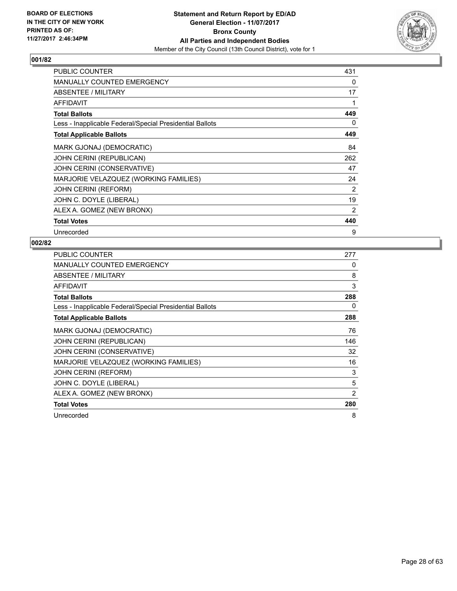

| <b>PUBLIC COUNTER</b>                                    | 431 |
|----------------------------------------------------------|-----|
| <b>MANUALLY COUNTED EMERGENCY</b>                        | 0   |
| ABSENTEE / MILITARY                                      | 17  |
| <b>AFFIDAVIT</b>                                         | 1   |
| <b>Total Ballots</b>                                     | 449 |
| Less - Inapplicable Federal/Special Presidential Ballots | 0   |
| <b>Total Applicable Ballots</b>                          | 449 |
| MARK GJONAJ (DEMOCRATIC)                                 | 84  |
| <b>JOHN CERINI (REPUBLICAN)</b>                          | 262 |
| JOHN CERINI (CONSERVATIVE)                               | 47  |
| MARJORIE VELAZQUEZ (WORKING FAMILIES)                    | 24  |
| <b>JOHN CERINI (REFORM)</b>                              | 2   |
| JOHN C. DOYLE (LIBERAL)                                  | 19  |
| ALEX A. GOMEZ (NEW BRONX)                                | 2   |
| <b>Total Votes</b>                                       | 440 |
| Unrecorded                                               | 9   |

| <b>PUBLIC COUNTER</b>                                    | 277 |
|----------------------------------------------------------|-----|
| <b>MANUALLY COUNTED EMERGENCY</b>                        | 0   |
| ABSENTEE / MILITARY                                      | 8   |
| <b>AFFIDAVIT</b>                                         | 3   |
| <b>Total Ballots</b>                                     | 288 |
| Less - Inapplicable Federal/Special Presidential Ballots | 0   |
| <b>Total Applicable Ballots</b>                          | 288 |
| MARK GJONAJ (DEMOCRATIC)                                 | 76  |
| JOHN CERINI (REPUBLICAN)                                 | 146 |
| JOHN CERINI (CONSERVATIVE)                               | 32  |
| MARJORIE VELAZQUEZ (WORKING FAMILIES)                    | 16  |
| <b>JOHN CERINI (REFORM)</b>                              | 3   |
| JOHN C. DOYLE (LIBERAL)                                  | 5   |
| ALEX A. GOMEZ (NEW BRONX)                                | 2   |
| <b>Total Votes</b>                                       | 280 |
| Unrecorded                                               | 8   |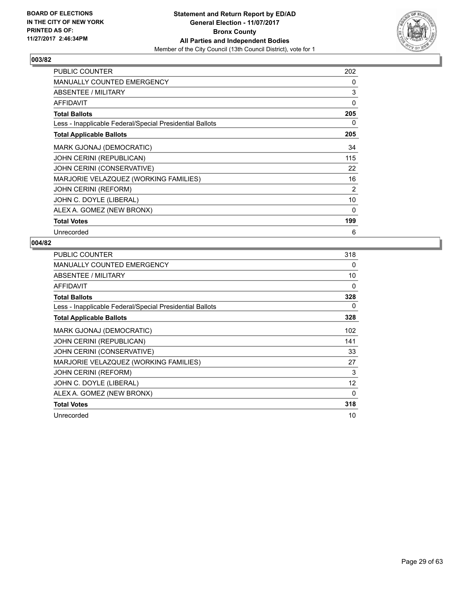

| <b>PUBLIC COUNTER</b>                                    | 202 |
|----------------------------------------------------------|-----|
| <b>MANUALLY COUNTED EMERGENCY</b>                        | 0   |
| ABSENTEE / MILITARY                                      | 3   |
| <b>AFFIDAVIT</b>                                         | 0   |
| <b>Total Ballots</b>                                     | 205 |
| Less - Inapplicable Federal/Special Presidential Ballots | 0   |
| <b>Total Applicable Ballots</b>                          | 205 |
| MARK GJONAJ (DEMOCRATIC)                                 | 34  |
| <b>JOHN CERINI (REPUBLICAN)</b>                          | 115 |
| JOHN CERINI (CONSERVATIVE)                               | 22  |
| MARJORIE VELAZQUEZ (WORKING FAMILIES)                    | 16  |
| <b>JOHN CERINI (REFORM)</b>                              | 2   |
| JOHN C. DOYLE (LIBERAL)                                  | 10  |
| ALEX A. GOMEZ (NEW BRONX)                                | 0   |
| <b>Total Votes</b>                                       | 199 |
| Unrecorded                                               | 6   |

| <b>PUBLIC COUNTER</b>                                    | 318 |
|----------------------------------------------------------|-----|
| <b>MANUALLY COUNTED EMERGENCY</b>                        | 0   |
| ABSENTEE / MILITARY                                      | 10  |
| <b>AFFIDAVIT</b>                                         | 0   |
| <b>Total Ballots</b>                                     | 328 |
| Less - Inapplicable Federal/Special Presidential Ballots | 0   |
| <b>Total Applicable Ballots</b>                          | 328 |
| MARK GJONAJ (DEMOCRATIC)                                 | 102 |
| JOHN CERINI (REPUBLICAN)                                 | 141 |
| JOHN CERINI (CONSERVATIVE)                               | 33  |
| MARJORIE VELAZQUEZ (WORKING FAMILIES)                    | 27  |
| <b>JOHN CERINI (REFORM)</b>                              | 3   |
| JOHN C. DOYLE (LIBERAL)                                  | 12  |
| ALEX A. GOMEZ (NEW BRONX)                                | 0   |
| <b>Total Votes</b>                                       | 318 |
| Unrecorded                                               | 10  |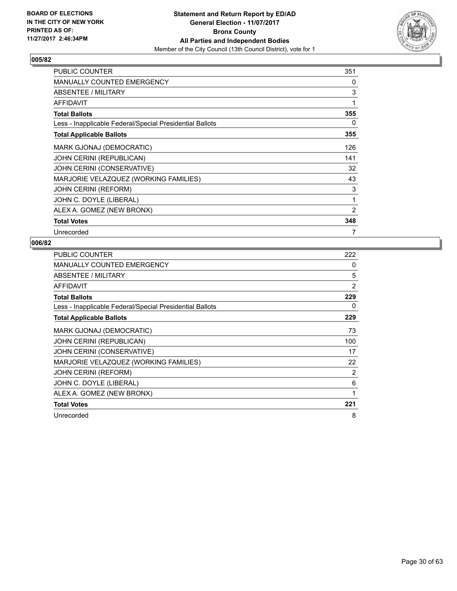

| <b>PUBLIC COUNTER</b>                                    | 351 |
|----------------------------------------------------------|-----|
| <b>MANUALLY COUNTED EMERGENCY</b>                        | 0   |
| ABSENTEE / MILITARY                                      | 3   |
| <b>AFFIDAVIT</b>                                         | 1   |
| <b>Total Ballots</b>                                     | 355 |
| Less - Inapplicable Federal/Special Presidential Ballots | 0   |
| <b>Total Applicable Ballots</b>                          | 355 |
| MARK GJONAJ (DEMOCRATIC)                                 | 126 |
| <b>JOHN CERINI (REPUBLICAN)</b>                          | 141 |
| JOHN CERINI (CONSERVATIVE)                               | 32  |
| MARJORIE VELAZQUEZ (WORKING FAMILIES)                    | 43  |
| <b>JOHN CERINI (REFORM)</b>                              | 3   |
| JOHN C. DOYLE (LIBERAL)                                  | 1   |
| ALEX A. GOMEZ (NEW BRONX)                                | 2   |
| <b>Total Votes</b>                                       | 348 |
| Unrecorded                                               | 7   |

| <b>PUBLIC COUNTER</b>                                    | 222            |
|----------------------------------------------------------|----------------|
| <b>MANUALLY COUNTED EMERGENCY</b>                        | 0              |
| ABSENTEE / MILITARY                                      | 5              |
| <b>AFFIDAVIT</b>                                         | $\overline{2}$ |
| <b>Total Ballots</b>                                     | 229            |
| Less - Inapplicable Federal/Special Presidential Ballots | 0              |
| <b>Total Applicable Ballots</b>                          | 229            |
| MARK GJONAJ (DEMOCRATIC)                                 | 73             |
| JOHN CERINI (REPUBLICAN)                                 | 100            |
| JOHN CERINI (CONSERVATIVE)                               | 17             |
| MARJORIE VELAZQUEZ (WORKING FAMILIES)                    | 22             |
| <b>JOHN CERINI (REFORM)</b>                              | 2              |
| JOHN C. DOYLE (LIBERAL)                                  | 6              |
| ALEX A. GOMEZ (NEW BRONX)                                | 1              |
| <b>Total Votes</b>                                       | 221            |
| Unrecorded                                               | 8              |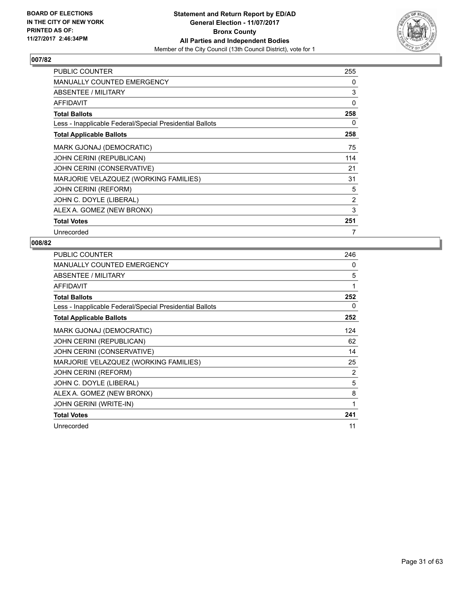

| <b>PUBLIC COUNTER</b>                                    | 255 |
|----------------------------------------------------------|-----|
| <b>MANUALLY COUNTED EMERGENCY</b>                        | 0   |
| ABSENTEE / MILITARY                                      | 3   |
| <b>AFFIDAVIT</b>                                         | 0   |
| <b>Total Ballots</b>                                     | 258 |
| Less - Inapplicable Federal/Special Presidential Ballots | 0   |
| <b>Total Applicable Ballots</b>                          | 258 |
| MARK GJONAJ (DEMOCRATIC)                                 | 75  |
| <b>JOHN CERINI (REPUBLICAN)</b>                          | 114 |
| JOHN CERINI (CONSERVATIVE)                               | 21  |
| MARJORIE VELAZQUEZ (WORKING FAMILIES)                    | 31  |
| <b>JOHN CERINI (REFORM)</b>                              | 5   |
| JOHN C. DOYLE (LIBERAL)                                  | 2   |
| ALEX A. GOMEZ (NEW BRONX)                                | 3   |
| <b>Total Votes</b>                                       | 251 |
| Unrecorded                                               | 7   |

| <b>PUBLIC COUNTER</b>                                    | 246 |
|----------------------------------------------------------|-----|
| MANUALLY COUNTED EMERGENCY                               | 0   |
| ABSENTEE / MILITARY                                      | 5   |
| <b>AFFIDAVIT</b>                                         | 1   |
| <b>Total Ballots</b>                                     | 252 |
| Less - Inapplicable Federal/Special Presidential Ballots | 0   |
| <b>Total Applicable Ballots</b>                          | 252 |
| MARK GJONAJ (DEMOCRATIC)                                 | 124 |
| JOHN CERINI (REPUBLICAN)                                 | 62  |
| JOHN CERINI (CONSERVATIVE)                               | 14  |
| MARJORIE VELAZQUEZ (WORKING FAMILIES)                    | 25  |
| <b>JOHN CERINI (REFORM)</b>                              | 2   |
| JOHN C. DOYLE (LIBERAL)                                  | 5   |
| ALEX A. GOMEZ (NEW BRONX)                                | 8   |
| <b>JOHN GERINI (WRITE-IN)</b>                            | 1   |
| <b>Total Votes</b>                                       | 241 |
| Unrecorded                                               | 11  |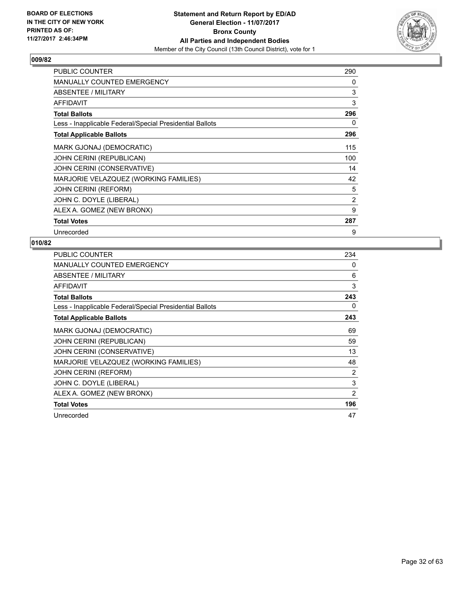

| <b>PUBLIC COUNTER</b>                                    | 290            |
|----------------------------------------------------------|----------------|
| <b>MANUALLY COUNTED EMERGENCY</b>                        | 0              |
| ABSENTEE / MILITARY                                      | 3              |
| <b>AFFIDAVIT</b>                                         | 3              |
| <b>Total Ballots</b>                                     | 296            |
| Less - Inapplicable Federal/Special Presidential Ballots | 0              |
| <b>Total Applicable Ballots</b>                          | 296            |
| MARK GJONAJ (DEMOCRATIC)                                 | 115            |
| <b>JOHN CERINI (REPUBLICAN)</b>                          | 100            |
| JOHN CERINI (CONSERVATIVE)                               | 14             |
| MARJORIE VELAZQUEZ (WORKING FAMILIES)                    | 42             |
| <b>JOHN CERINI (REFORM)</b>                              | 5              |
| JOHN C. DOYLE (LIBERAL)                                  | $\overline{2}$ |
| ALEX A. GOMEZ (NEW BRONX)                                | 9              |
| <b>Total Votes</b>                                       | 287            |
| Unrecorded                                               | 9              |

| <b>PUBLIC COUNTER</b>                                    | 234 |
|----------------------------------------------------------|-----|
| <b>MANUALLY COUNTED EMERGENCY</b>                        | 0   |
| ABSENTEE / MILITARY                                      | 6   |
| <b>AFFIDAVIT</b>                                         | 3   |
| <b>Total Ballots</b>                                     | 243 |
| Less - Inapplicable Federal/Special Presidential Ballots | 0   |
| <b>Total Applicable Ballots</b>                          | 243 |
| MARK GJONAJ (DEMOCRATIC)                                 | 69  |
| <b>JOHN CERINI (REPUBLICAN)</b>                          | 59  |
| JOHN CERINI (CONSERVATIVE)                               | 13  |
| MARJORIE VELAZQUEZ (WORKING FAMILIES)                    | 48  |
| <b>JOHN CERINI (REFORM)</b>                              | 2   |
| JOHN C. DOYLE (LIBERAL)                                  | 3   |
| ALEX A. GOMEZ (NEW BRONX)                                | 2   |
| <b>Total Votes</b>                                       | 196 |
| Unrecorded                                               | 47  |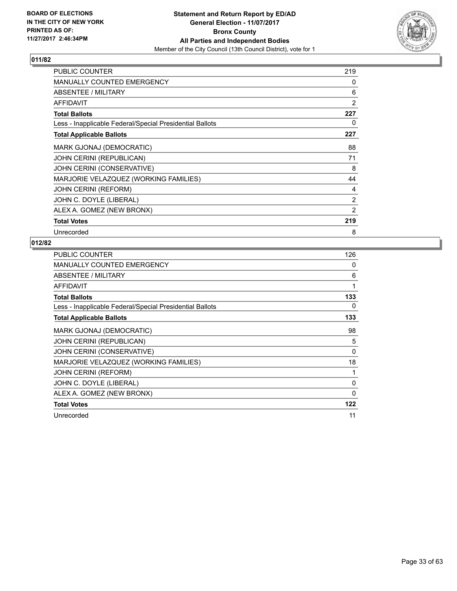

| <b>PUBLIC COUNTER</b>                                    | 219            |
|----------------------------------------------------------|----------------|
| MANUALLY COUNTED EMERGENCY                               | 0              |
| ABSENTEE / MILITARY                                      | 6              |
| <b>AFFIDAVIT</b>                                         | $\overline{2}$ |
| <b>Total Ballots</b>                                     | 227            |
| Less - Inapplicable Federal/Special Presidential Ballots | 0              |
| <b>Total Applicable Ballots</b>                          | 227            |
| MARK GJONAJ (DEMOCRATIC)                                 | 88             |
| <b>JOHN CERINI (REPUBLICAN)</b>                          | 71             |
| JOHN CERINI (CONSERVATIVE)                               | 8              |
| MARJORIE VELAZQUEZ (WORKING FAMILIES)                    | 44             |
| <b>JOHN CERINI (REFORM)</b>                              | 4              |
| JOHN C. DOYLE (LIBERAL)                                  | 2              |
| ALEX A. GOMEZ (NEW BRONX)                                | $\overline{2}$ |
| <b>Total Votes</b>                                       | 219            |
| Unrecorded                                               | 8              |

| <b>PUBLIC COUNTER</b>                                    | 126 |
|----------------------------------------------------------|-----|
| <b>MANUALLY COUNTED EMERGENCY</b>                        | 0   |
| ABSENTEE / MILITARY                                      | 6   |
| <b>AFFIDAVIT</b>                                         | 1   |
| <b>Total Ballots</b>                                     | 133 |
| Less - Inapplicable Federal/Special Presidential Ballots | 0   |
| <b>Total Applicable Ballots</b>                          | 133 |
| MARK GJONAJ (DEMOCRATIC)                                 | 98  |
| <b>JOHN CERINI (REPUBLICAN)</b>                          | 5   |
| JOHN CERINI (CONSERVATIVE)                               | 0   |
| MARJORIE VELAZQUEZ (WORKING FAMILIES)                    | 18  |
| <b>JOHN CERINI (REFORM)</b>                              | 1   |
| JOHN C. DOYLE (LIBERAL)                                  | 0   |
| ALEX A. GOMEZ (NEW BRONX)                                | 0   |
| <b>Total Votes</b>                                       | 122 |
| Unrecorded                                               | 11  |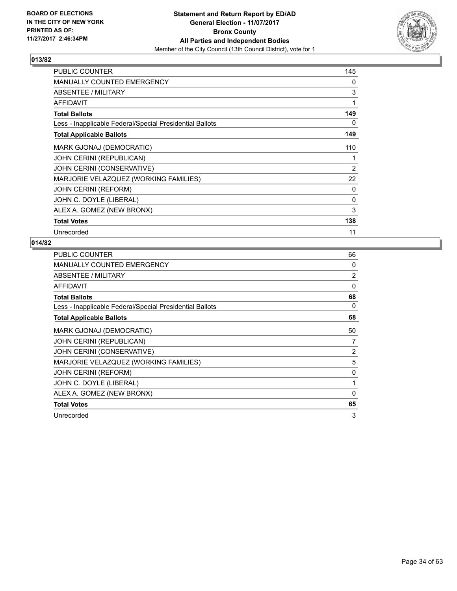

| <b>PUBLIC COUNTER</b>                                    | 145 |
|----------------------------------------------------------|-----|
| <b>MANUALLY COUNTED EMERGENCY</b>                        | 0   |
| ABSENTEE / MILITARY                                      | 3   |
| <b>AFFIDAVIT</b>                                         | 1   |
| <b>Total Ballots</b>                                     | 149 |
| Less - Inapplicable Federal/Special Presidential Ballots | 0   |
| <b>Total Applicable Ballots</b>                          | 149 |
| MARK GJONAJ (DEMOCRATIC)                                 | 110 |
| <b>JOHN CERINI (REPUBLICAN)</b>                          | 1   |
| JOHN CERINI (CONSERVATIVE)                               | 2   |
| MARJORIE VELAZQUEZ (WORKING FAMILIES)                    | 22  |
| <b>JOHN CERINI (REFORM)</b>                              | 0   |
| JOHN C. DOYLE (LIBERAL)                                  | 0   |
| ALEX A. GOMEZ (NEW BRONX)                                | 3   |
| <b>Total Votes</b>                                       | 138 |
| Unrecorded                                               | 11  |

| <b>PUBLIC COUNTER</b>                                    | 66             |
|----------------------------------------------------------|----------------|
| <b>MANUALLY COUNTED EMERGENCY</b>                        | 0              |
| ABSENTEE / MILITARY                                      | 2              |
| AFFIDAVIT                                                | $\Omega$       |
| <b>Total Ballots</b>                                     | 68             |
| Less - Inapplicable Federal/Special Presidential Ballots | 0              |
| <b>Total Applicable Ballots</b>                          | 68             |
| MARK GJONAJ (DEMOCRATIC)                                 | 50             |
| <b>JOHN CERINI (REPUBLICAN)</b>                          | 7              |
| JOHN CERINI (CONSERVATIVE)                               | $\overline{2}$ |
| MARJORIE VELAZQUEZ (WORKING FAMILIES)                    | 5              |
| <b>JOHN CERINI (REFORM)</b>                              | 0              |
| JOHN C. DOYLE (LIBERAL)                                  | 1              |
| ALEX A. GOMEZ (NEW BRONX)                                | 0              |
| <b>Total Votes</b>                                       | 65             |
| Unrecorded                                               | 3              |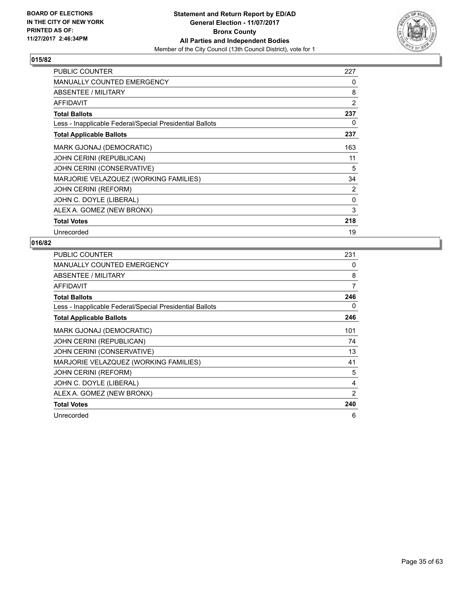

| <b>PUBLIC COUNTER</b>                                    | 227 |
|----------------------------------------------------------|-----|
| <b>MANUALLY COUNTED EMERGENCY</b>                        | 0   |
| ABSENTEE / MILITARY                                      | 8   |
| AFFIDAVIT                                                | 2   |
| <b>Total Ballots</b>                                     | 237 |
| Less - Inapplicable Federal/Special Presidential Ballots | 0   |
| <b>Total Applicable Ballots</b>                          | 237 |
| MARK GJONAJ (DEMOCRATIC)                                 | 163 |
| <b>JOHN CERINI (REPUBLICAN)</b>                          | 11  |
| JOHN CERINI (CONSERVATIVE)                               | 5   |
| MARJORIE VELAZQUEZ (WORKING FAMILIES)                    | 34  |
| <b>JOHN CERINI (REFORM)</b>                              | 2   |
| JOHN C. DOYLE (LIBERAL)                                  | 0   |
| ALEX A. GOMEZ (NEW BRONX)                                | 3   |
| <b>Total Votes</b>                                       | 218 |
| Unrecorded                                               | 19  |

| <b>PUBLIC COUNTER</b>                                    | 231            |
|----------------------------------------------------------|----------------|
| <b>MANUALLY COUNTED EMERGENCY</b>                        | 0              |
| ABSENTEE / MILITARY                                      | 8              |
| <b>AFFIDAVIT</b>                                         | $\overline{7}$ |
| <b>Total Ballots</b>                                     | 246            |
| Less - Inapplicable Federal/Special Presidential Ballots | 0              |
| <b>Total Applicable Ballots</b>                          | 246            |
| MARK GJONAJ (DEMOCRATIC)                                 | 101            |
| <b>JOHN CERINI (REPUBLICAN)</b>                          | 74             |
| JOHN CERINI (CONSERVATIVE)                               | 13             |
| MARJORIE VELAZQUEZ (WORKING FAMILIES)                    | 41             |
| <b>JOHN CERINI (REFORM)</b>                              | 5              |
| JOHN C. DOYLE (LIBERAL)                                  | 4              |
| ALEX A. GOMEZ (NEW BRONX)                                | 2              |
| <b>Total Votes</b>                                       | 240            |
| Unrecorded                                               | 6              |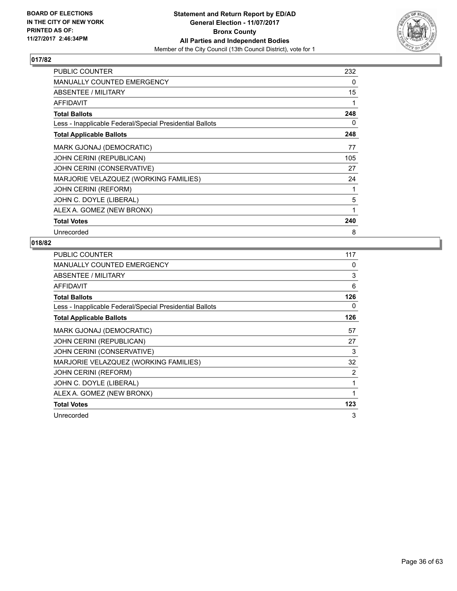

| <b>PUBLIC COUNTER</b>                                    | 232 |
|----------------------------------------------------------|-----|
| <b>MANUALLY COUNTED EMERGENCY</b>                        | 0   |
| ABSENTEE / MILITARY                                      | 15  |
| <b>AFFIDAVIT</b>                                         | 1   |
| <b>Total Ballots</b>                                     | 248 |
| Less - Inapplicable Federal/Special Presidential Ballots | 0   |
| <b>Total Applicable Ballots</b>                          | 248 |
| MARK GJONAJ (DEMOCRATIC)                                 | 77  |
| <b>JOHN CERINI (REPUBLICAN)</b>                          | 105 |
| JOHN CERINI (CONSERVATIVE)                               | 27  |
| MARJORIE VELAZQUEZ (WORKING FAMILIES)                    | 24  |
| <b>JOHN CERINI (REFORM)</b>                              | 1   |
| JOHN C. DOYLE (LIBERAL)                                  | 5   |
| ALEX A. GOMEZ (NEW BRONX)                                | 1   |
| <b>Total Votes</b>                                       | 240 |
| Unrecorded                                               | 8   |

| <b>PUBLIC COUNTER</b>                                    | 117 |
|----------------------------------------------------------|-----|
| <b>MANUALLY COUNTED EMERGENCY</b>                        | 0   |
| ABSENTEE / MILITARY                                      | 3   |
| <b>AFFIDAVIT</b>                                         | 6   |
| <b>Total Ballots</b>                                     | 126 |
| Less - Inapplicable Federal/Special Presidential Ballots | 0   |
| <b>Total Applicable Ballots</b>                          | 126 |
| MARK GJONAJ (DEMOCRATIC)                                 | 57  |
| <b>JOHN CERINI (REPUBLICAN)</b>                          | 27  |
| JOHN CERINI (CONSERVATIVE)                               | 3   |
| MARJORIE VELAZQUEZ (WORKING FAMILIES)                    | 32  |
| <b>JOHN CERINI (REFORM)</b>                              | 2   |
| JOHN C. DOYLE (LIBERAL)                                  | 1   |
| ALEX A. GOMEZ (NEW BRONX)                                | 1   |
| <b>Total Votes</b>                                       | 123 |
| Unrecorded                                               | 3   |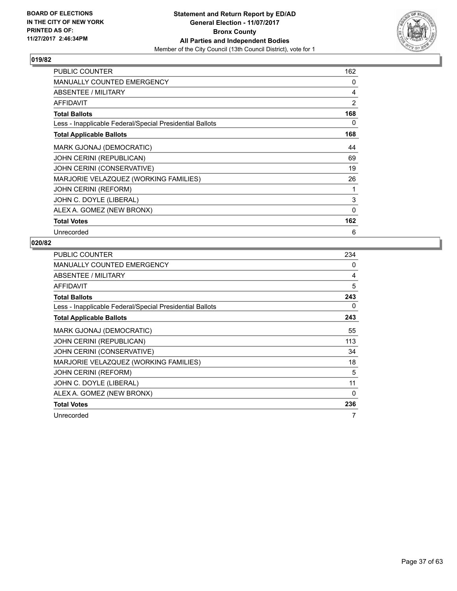

| <b>PUBLIC COUNTER</b>                                    | 162 |
|----------------------------------------------------------|-----|
| <b>MANUALLY COUNTED EMERGENCY</b>                        | 0   |
| ABSENTEE / MILITARY                                      | 4   |
| <b>AFFIDAVIT</b>                                         | 2   |
| <b>Total Ballots</b>                                     | 168 |
| Less - Inapplicable Federal/Special Presidential Ballots | 0   |
| <b>Total Applicable Ballots</b>                          | 168 |
| MARK GJONAJ (DEMOCRATIC)                                 | 44  |
| <b>JOHN CERINI (REPUBLICAN)</b>                          | 69  |
| JOHN CERINI (CONSERVATIVE)                               | 19  |
| MARJORIE VELAZQUEZ (WORKING FAMILIES)                    | 26  |
| <b>JOHN CERINI (REFORM)</b>                              | 1   |
| JOHN C. DOYLE (LIBERAL)                                  | 3   |
| ALEX A. GOMEZ (NEW BRONX)                                | 0   |
| <b>Total Votes</b>                                       | 162 |
| Unrecorded                                               | 6   |

| <b>PUBLIC COUNTER</b>                                    | 234 |
|----------------------------------------------------------|-----|
| <b>MANUALLY COUNTED EMERGENCY</b>                        | 0   |
| ABSENTEE / MILITARY                                      | 4   |
| <b>AFFIDAVIT</b>                                         | 5   |
| <b>Total Ballots</b>                                     | 243 |
| Less - Inapplicable Federal/Special Presidential Ballots | 0   |
| <b>Total Applicable Ballots</b>                          | 243 |
| MARK GJONAJ (DEMOCRATIC)                                 | 55  |
| <b>JOHN CERINI (REPUBLICAN)</b>                          | 113 |
| JOHN CERINI (CONSERVATIVE)                               | 34  |
| MARJORIE VELAZQUEZ (WORKING FAMILIES)                    | 18  |
| <b>JOHN CERINI (REFORM)</b>                              | 5   |
| JOHN C. DOYLE (LIBERAL)                                  | 11  |
| ALEX A. GOMEZ (NEW BRONX)                                | 0   |
| <b>Total Votes</b>                                       | 236 |
| Unrecorded                                               | 7   |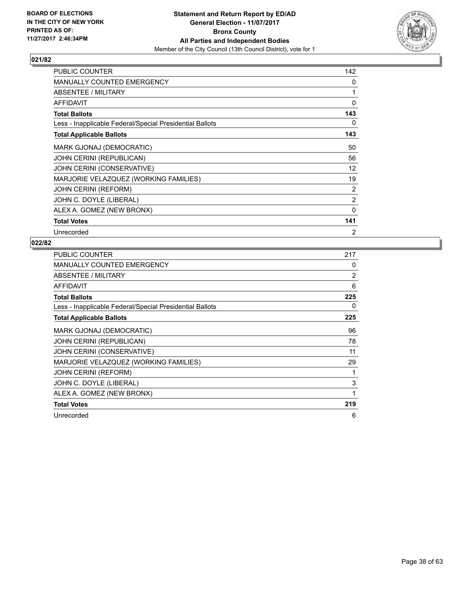

| <b>PUBLIC COUNTER</b>                                    | 142            |
|----------------------------------------------------------|----------------|
| <b>MANUALLY COUNTED EMERGENCY</b>                        | 0              |
| ABSENTEE / MILITARY                                      | 1              |
| AFFIDAVIT                                                | $\mathbf{0}$   |
| <b>Total Ballots</b>                                     | 143            |
| Less - Inapplicable Federal/Special Presidential Ballots | 0              |
| <b>Total Applicable Ballots</b>                          | 143            |
| MARK GJONAJ (DEMOCRATIC)                                 | 50             |
| <b>JOHN CERINI (REPUBLICAN)</b>                          | 56             |
| JOHN CERINI (CONSERVATIVE)                               | 12             |
| MARJORIE VELAZQUEZ (WORKING FAMILIES)                    | 19             |
| <b>JOHN CERINI (REFORM)</b>                              | 2              |
| JOHN C. DOYLE (LIBERAL)                                  | 2              |
| ALEX A. GOMEZ (NEW BRONX)                                | 0              |
| <b>Total Votes</b>                                       | 141            |
| Unrecorded                                               | $\overline{2}$ |

| <b>PUBLIC COUNTER</b>                                    | 217 |
|----------------------------------------------------------|-----|
| <b>MANUALLY COUNTED EMERGENCY</b>                        | 0   |
| ABSENTEE / MILITARY                                      | 2   |
| <b>AFFIDAVIT</b>                                         | 6   |
| <b>Total Ballots</b>                                     | 225 |
| Less - Inapplicable Federal/Special Presidential Ballots | 0   |
| <b>Total Applicable Ballots</b>                          | 225 |
| MARK GJONAJ (DEMOCRATIC)                                 | 96  |
| JOHN CERINI (REPUBLICAN)                                 | 78  |
| JOHN CERINI (CONSERVATIVE)                               | 11  |
| MARJORIE VELAZQUEZ (WORKING FAMILIES)                    | 29  |
| <b>JOHN CERINI (REFORM)</b>                              | 1   |
| JOHN C. DOYLE (LIBERAL)                                  | 3   |
| ALEX A. GOMEZ (NEW BRONX)                                | 1   |
| <b>Total Votes</b>                                       | 219 |
| Unrecorded                                               | 6   |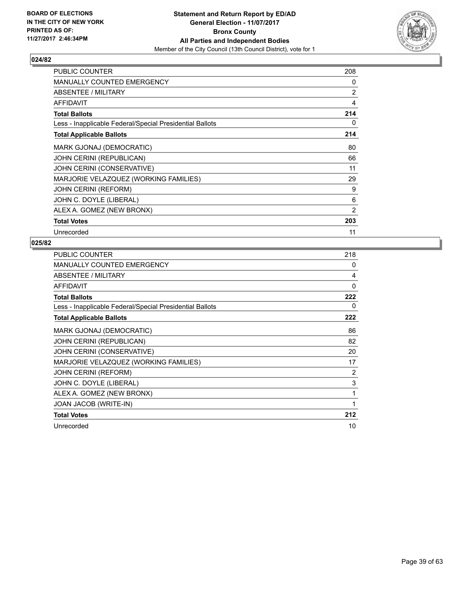

| <b>PUBLIC COUNTER</b>                                    | 208            |
|----------------------------------------------------------|----------------|
| <b>MANUALLY COUNTED EMERGENCY</b>                        | 0              |
| ABSENTEE / MILITARY                                      | 2              |
| <b>AFFIDAVIT</b>                                         | 4              |
| <b>Total Ballots</b>                                     | 214            |
| Less - Inapplicable Federal/Special Presidential Ballots | 0              |
| <b>Total Applicable Ballots</b>                          | 214            |
| MARK GJONAJ (DEMOCRATIC)                                 | 80             |
| <b>JOHN CERINI (REPUBLICAN)</b>                          | 66             |
| JOHN CERINI (CONSERVATIVE)                               | 11             |
| MARJORIE VELAZQUEZ (WORKING FAMILIES)                    | 29             |
| <b>JOHN CERINI (REFORM)</b>                              | 9              |
| JOHN C. DOYLE (LIBERAL)                                  | 6              |
| ALEX A. GOMEZ (NEW BRONX)                                | $\overline{2}$ |
| <b>Total Votes</b>                                       | 203            |
| Unrecorded                                               | 11             |

| <b>PUBLIC COUNTER</b>                                    | 218          |
|----------------------------------------------------------|--------------|
| <b>MANUALLY COUNTED EMERGENCY</b>                        | 0            |
| <b>ABSENTEE / MILITARY</b>                               | 4            |
| <b>AFFIDAVIT</b>                                         | $\mathbf{0}$ |
| <b>Total Ballots</b>                                     | 222          |
| Less - Inapplicable Federal/Special Presidential Ballots | 0            |
| <b>Total Applicable Ballots</b>                          | 222          |
| MARK GJONAJ (DEMOCRATIC)                                 | 86           |
| JOHN CERINI (REPUBLICAN)                                 | 82           |
| JOHN CERINI (CONSERVATIVE)                               | 20           |
| MARJORIE VELAZQUEZ (WORKING FAMILIES)                    | 17           |
| <b>JOHN CERINI (REFORM)</b>                              | 2            |
| JOHN C. DOYLE (LIBERAL)                                  | 3            |
| ALEX A. GOMEZ (NEW BRONX)                                | 1            |
| JOAN JACOB (WRITE-IN)                                    | 1            |
| <b>Total Votes</b>                                       | 212          |
| Unrecorded                                               | 10           |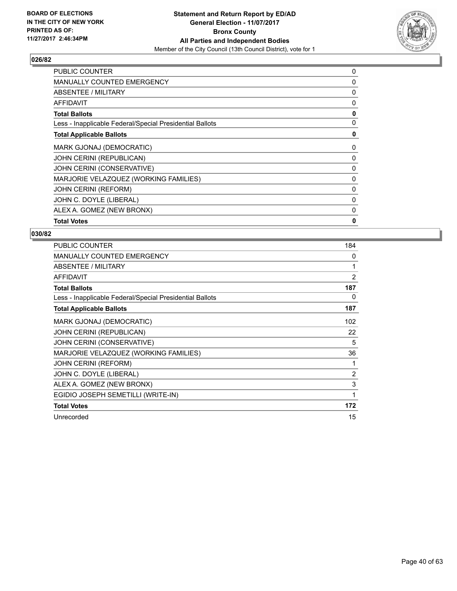

| <b>PUBLIC COUNTER</b>                                    | 0        |
|----------------------------------------------------------|----------|
| <b>MANUALLY COUNTED EMERGENCY</b>                        | 0        |
| ABSENTEE / MILITARY                                      | 0        |
| AFFIDAVIT                                                | 0        |
| <b>Total Ballots</b>                                     | 0        |
| Less - Inapplicable Federal/Special Presidential Ballots | 0        |
| <b>Total Applicable Ballots</b>                          | 0        |
| MARK GJONAJ (DEMOCRATIC)                                 | 0        |
| JOHN CERINI (REPUBLICAN)                                 | 0        |
| JOHN CERINI (CONSERVATIVE)                               | 0        |
| MARJORIE VELAZQUEZ (WORKING FAMILIES)                    | 0        |
| <b>JOHN CERINI (REFORM)</b>                              | $\Omega$ |
| JOHN C. DOYLE (LIBERAL)                                  | 0        |
| ALEX A. GOMEZ (NEW BRONX)                                | 0        |
| <b>Total Votes</b>                                       | 0        |

| <b>PUBLIC COUNTER</b>                                    | 184            |
|----------------------------------------------------------|----------------|
| MANUALLY COUNTED EMERGENCY                               | $\Omega$       |
| ABSENTEE / MILITARY                                      | 1              |
| AFFIDAVIT                                                | 2              |
| <b>Total Ballots</b>                                     | 187            |
| Less - Inapplicable Federal/Special Presidential Ballots | 0              |
| <b>Total Applicable Ballots</b>                          | 187            |
| MARK GJONAJ (DEMOCRATIC)                                 | 102            |
| <b>JOHN CERINI (REPUBLICAN)</b>                          | 22             |
| JOHN CERINI (CONSERVATIVE)                               | 5              |
| MARJORIE VELAZQUEZ (WORKING FAMILIES)                    | 36             |
| <b>JOHN CERINI (REFORM)</b>                              | 1              |
| JOHN C. DOYLE (LIBERAL)                                  | $\overline{2}$ |
| ALEX A. GOMEZ (NEW BRONX)                                | 3              |
| EGIDIO JOSEPH SEMETILLI (WRITE-IN)                       | 1              |
| <b>Total Votes</b>                                       | 172            |
| Unrecorded                                               | 15             |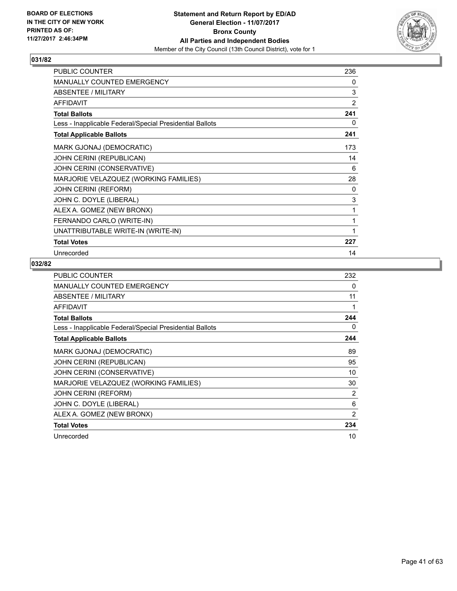

| <b>PUBLIC COUNTER</b>                                    | 236            |
|----------------------------------------------------------|----------------|
| <b>MANUALLY COUNTED EMERGENCY</b>                        | 0              |
| ABSENTEE / MILITARY                                      | 3              |
| <b>AFFIDAVIT</b>                                         | $\overline{2}$ |
| <b>Total Ballots</b>                                     | 241            |
| Less - Inapplicable Federal/Special Presidential Ballots | 0              |
| <b>Total Applicable Ballots</b>                          | 241            |
| MARK GJONAJ (DEMOCRATIC)                                 | 173            |
| <b>JOHN CERINI (REPUBLICAN)</b>                          | 14             |
| JOHN CERINI (CONSERVATIVE)                               | 6              |
| MARJORIE VELAZQUEZ (WORKING FAMILIES)                    | 28             |
| <b>JOHN CERINI (REFORM)</b>                              | 0              |
| JOHN C. DOYLE (LIBERAL)                                  | 3              |
| ALEX A. GOMEZ (NEW BRONX)                                | 1              |
| FERNANDO CARLO (WRITE-IN)                                | 1              |
| UNATTRIBUTABLE WRITE-IN (WRITE-IN)                       |                |
| <b>Total Votes</b>                                       | 227            |
| Unrecorded                                               | 14             |

| <b>PUBLIC COUNTER</b>                                    | 232            |
|----------------------------------------------------------|----------------|
| MANUALLY COUNTED EMERGENCY                               | 0              |
| ABSENTEE / MILITARY                                      | 11             |
| <b>AFFIDAVIT</b>                                         | 1              |
| <b>Total Ballots</b>                                     | 244            |
| Less - Inapplicable Federal/Special Presidential Ballots | 0              |
| <b>Total Applicable Ballots</b>                          | 244            |
| MARK GJONAJ (DEMOCRATIC)                                 | 89             |
| JOHN CERINI (REPUBLICAN)                                 | 95             |
| JOHN CERINI (CONSERVATIVE)                               | 10             |
| MARJORIE VELAZQUEZ (WORKING FAMILIES)                    | 30             |
| <b>JOHN CERINI (REFORM)</b>                              | $\overline{2}$ |
| JOHN C. DOYLE (LIBERAL)                                  | 6              |
| ALEX A. GOMEZ (NEW BRONX)                                | 2              |
| <b>Total Votes</b>                                       | 234            |
| Unrecorded                                               | 10             |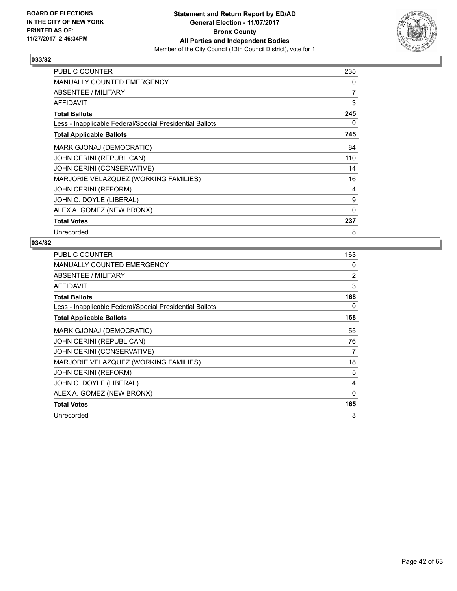

| <b>PUBLIC COUNTER</b>                                    | 235 |
|----------------------------------------------------------|-----|
| <b>MANUALLY COUNTED EMERGENCY</b>                        | 0   |
| ABSENTEE / MILITARY                                      | 7   |
| <b>AFFIDAVIT</b>                                         | 3   |
| <b>Total Ballots</b>                                     | 245 |
| Less - Inapplicable Federal/Special Presidential Ballots | 0   |
| <b>Total Applicable Ballots</b>                          | 245 |
| MARK GJONAJ (DEMOCRATIC)                                 | 84  |
| <b>JOHN CERINI (REPUBLICAN)</b>                          | 110 |
| JOHN CERINI (CONSERVATIVE)                               | 14  |
| MARJORIE VELAZQUEZ (WORKING FAMILIES)                    | 16  |
| <b>JOHN CERINI (REFORM)</b>                              | 4   |
| JOHN C. DOYLE (LIBERAL)                                  | 9   |
| ALEX A. GOMEZ (NEW BRONX)                                | 0   |
| <b>Total Votes</b>                                       | 237 |
| Unrecorded                                               | 8   |

| <b>PUBLIC COUNTER</b>                                    | 163 |
|----------------------------------------------------------|-----|
| <b>MANUALLY COUNTED EMERGENCY</b>                        | 0   |
| ABSENTEE / MILITARY                                      | 2   |
| <b>AFFIDAVIT</b>                                         | 3   |
| <b>Total Ballots</b>                                     | 168 |
| Less - Inapplicable Federal/Special Presidential Ballots | 0   |
| <b>Total Applicable Ballots</b>                          | 168 |
| MARK GJONAJ (DEMOCRATIC)                                 | 55  |
| <b>JOHN CERINI (REPUBLICAN)</b>                          | 76  |
| JOHN CERINI (CONSERVATIVE)                               | 7   |
| MARJORIE VELAZQUEZ (WORKING FAMILIES)                    | 18  |
| <b>JOHN CERINI (REFORM)</b>                              | 5   |
| JOHN C. DOYLE (LIBERAL)                                  | 4   |
| ALEX A. GOMEZ (NEW BRONX)                                | 0   |
| <b>Total Votes</b>                                       | 165 |
| Unrecorded                                               | 3   |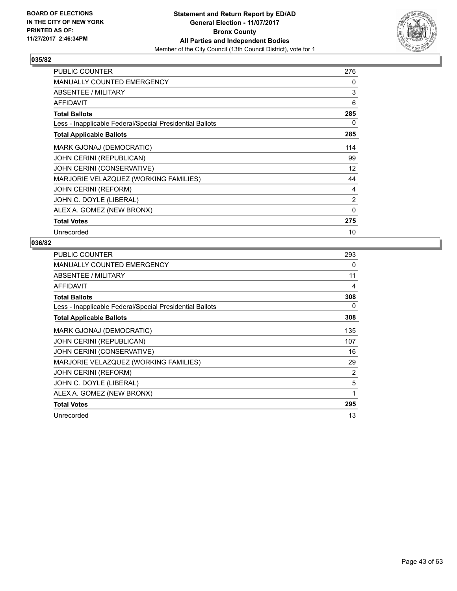

| <b>PUBLIC COUNTER</b>                                    | 276 |
|----------------------------------------------------------|-----|
| <b>MANUALLY COUNTED EMERGENCY</b>                        | 0   |
| ABSENTEE / MILITARY                                      | 3   |
| <b>AFFIDAVIT</b>                                         | 6   |
| <b>Total Ballots</b>                                     | 285 |
| Less - Inapplicable Federal/Special Presidential Ballots | 0   |
| <b>Total Applicable Ballots</b>                          | 285 |
| MARK GJONAJ (DEMOCRATIC)                                 | 114 |
| <b>JOHN CERINI (REPUBLICAN)</b>                          | 99  |
| JOHN CERINI (CONSERVATIVE)                               | 12  |
| MARJORIE VELAZQUEZ (WORKING FAMILIES)                    | 44  |
| <b>JOHN CERINI (REFORM)</b>                              | 4   |
| JOHN C. DOYLE (LIBERAL)                                  | 2   |
| ALEX A. GOMEZ (NEW BRONX)                                | 0   |
| <b>Total Votes</b>                                       | 275 |
| Unrecorded                                               | 10  |

| <b>PUBLIC COUNTER</b>                                    | 293            |
|----------------------------------------------------------|----------------|
| <b>MANUALLY COUNTED EMERGENCY</b>                        | 0              |
| ABSENTEE / MILITARY                                      | 11             |
| <b>AFFIDAVIT</b>                                         | 4              |
| <b>Total Ballots</b>                                     | 308            |
| Less - Inapplicable Federal/Special Presidential Ballots | 0              |
| <b>Total Applicable Ballots</b>                          | 308            |
| MARK GJONAJ (DEMOCRATIC)                                 | 135            |
| JOHN CERINI (REPUBLICAN)                                 | 107            |
| JOHN CERINI (CONSERVATIVE)                               | 16             |
| MARJORIE VELAZQUEZ (WORKING FAMILIES)                    | 29             |
| <b>JOHN CERINI (REFORM)</b>                              | $\overline{2}$ |
| JOHN C. DOYLE (LIBERAL)                                  | 5              |
| ALEX A. GOMEZ (NEW BRONX)                                | 1              |
| <b>Total Votes</b>                                       | 295            |
| Unrecorded                                               | 13             |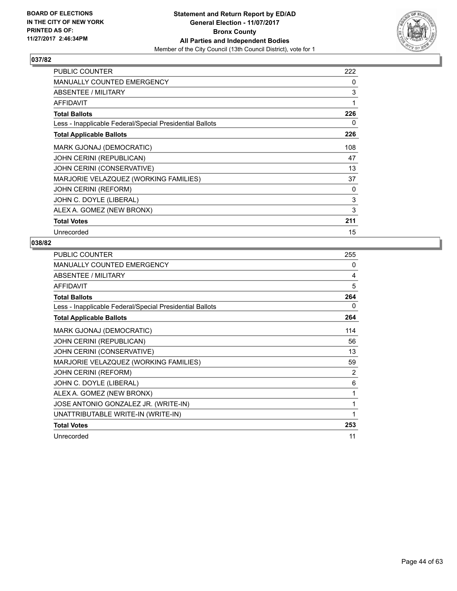

| <b>PUBLIC COUNTER</b>                                    | 222 |
|----------------------------------------------------------|-----|
| MANUALLY COUNTED EMERGENCY                               | 0   |
| ABSENTEE / MILITARY                                      | 3   |
| AFFIDAVIT                                                | 1   |
| <b>Total Ballots</b>                                     | 226 |
| Less - Inapplicable Federal/Special Presidential Ballots | 0   |
| <b>Total Applicable Ballots</b>                          | 226 |
| MARK GJONAJ (DEMOCRATIC)                                 | 108 |
| JOHN CERINI (REPUBLICAN)                                 | 47  |
| JOHN CERINI (CONSERVATIVE)                               | 13  |
| MARJORIE VELAZQUEZ (WORKING FAMILIES)                    | 37  |
| <b>JOHN CERINI (REFORM)</b>                              | 0   |
| JOHN C. DOYLE (LIBERAL)                                  | 3   |
| ALEX A. GOMEZ (NEW BRONX)                                | 3   |
| <b>Total Votes</b>                                       | 211 |
| Unrecorded                                               | 15  |

| <b>PUBLIC COUNTER</b>                                    | 255            |
|----------------------------------------------------------|----------------|
| MANUALLY COUNTED EMERGENCY                               | 0              |
| ABSENTEE / MILITARY                                      | 4              |
| <b>AFFIDAVIT</b>                                         | 5              |
| <b>Total Ballots</b>                                     | 264            |
| Less - Inapplicable Federal/Special Presidential Ballots | 0              |
| <b>Total Applicable Ballots</b>                          | 264            |
| MARK GJONAJ (DEMOCRATIC)                                 | 114            |
| <b>JOHN CERINI (REPUBLICAN)</b>                          | 56             |
| JOHN CERINI (CONSERVATIVE)                               | 13             |
| MARJORIE VELAZQUEZ (WORKING FAMILIES)                    | 59             |
| <b>JOHN CERINI (REFORM)</b>                              | $\overline{2}$ |
| JOHN C. DOYLE (LIBERAL)                                  | 6              |
| ALEX A. GOMEZ (NEW BRONX)                                | 1              |
| JOSE ANTONIO GONZALEZ JR. (WRITE-IN)                     | 1              |
| UNATTRIBUTABLE WRITE-IN (WRITE-IN)                       | 1              |
| <b>Total Votes</b>                                       | 253            |
| Unrecorded                                               | 11             |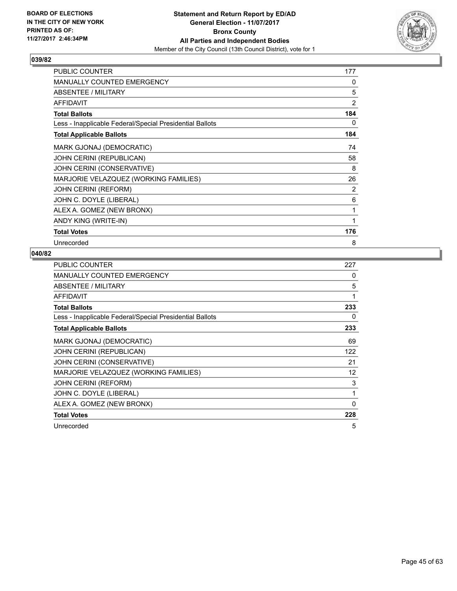

| <b>PUBLIC COUNTER</b>                                    | 177            |
|----------------------------------------------------------|----------------|
| <b>MANUALLY COUNTED EMERGENCY</b>                        | 0              |
| <b>ABSENTEE / MILITARY</b>                               | 5              |
| <b>AFFIDAVIT</b>                                         | $\overline{2}$ |
| <b>Total Ballots</b>                                     | 184            |
| Less - Inapplicable Federal/Special Presidential Ballots | 0              |
| <b>Total Applicable Ballots</b>                          | 184            |
| MARK GJONAJ (DEMOCRATIC)                                 | 74             |
| JOHN CERINI (REPUBLICAN)                                 | 58             |
| JOHN CERINI (CONSERVATIVE)                               | 8              |
| MARJORIE VELAZQUEZ (WORKING FAMILIES)                    | 26             |
| <b>JOHN CERINI (REFORM)</b>                              | 2              |
| JOHN C. DOYLE (LIBERAL)                                  | 6              |
| ALEX A. GOMEZ (NEW BRONX)                                | 1              |
| ANDY KING (WRITE-IN)                                     | 1              |
| <b>Total Votes</b>                                       | 176            |
| Unrecorded                                               | 8              |

| <b>PUBLIC COUNTER</b>                                    | 227 |
|----------------------------------------------------------|-----|
| <b>MANUALLY COUNTED EMERGENCY</b>                        | 0   |
| ABSENTEE / MILITARY                                      | 5   |
| <b>AFFIDAVIT</b>                                         | 1   |
| <b>Total Ballots</b>                                     | 233 |
| Less - Inapplicable Federal/Special Presidential Ballots | 0   |
| <b>Total Applicable Ballots</b>                          | 233 |
| MARK GJONAJ (DEMOCRATIC)                                 | 69  |
| <b>JOHN CERINI (REPUBLICAN)</b>                          | 122 |
| JOHN CERINI (CONSERVATIVE)                               | 21  |
| MARJORIE VELAZQUEZ (WORKING FAMILIES)                    | 12  |
| <b>JOHN CERINI (REFORM)</b>                              | 3   |
| JOHN C. DOYLE (LIBERAL)                                  | 1   |
| ALEX A. GOMEZ (NEW BRONX)                                | 0   |
| <b>Total Votes</b>                                       | 228 |
| Unrecorded                                               | 5   |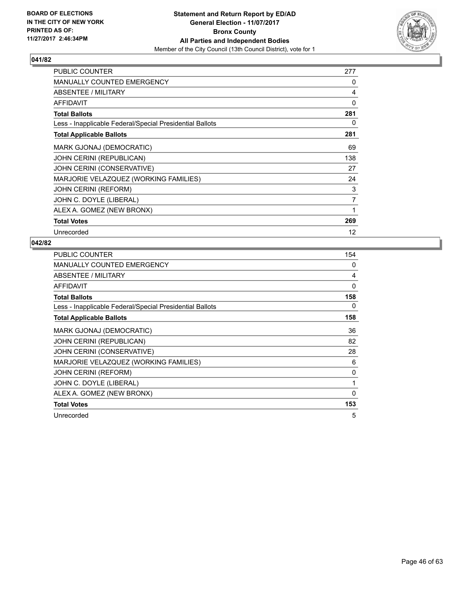

| <b>PUBLIC COUNTER</b>                                    | 277 |
|----------------------------------------------------------|-----|
| <b>MANUALLY COUNTED EMERGENCY</b>                        | 0   |
| ABSENTEE / MILITARY                                      | 4   |
| <b>AFFIDAVIT</b>                                         | 0   |
| <b>Total Ballots</b>                                     | 281 |
| Less - Inapplicable Federal/Special Presidential Ballots | 0   |
| <b>Total Applicable Ballots</b>                          | 281 |
| MARK GJONAJ (DEMOCRATIC)                                 | 69  |
| JOHN CERINI (REPUBLICAN)                                 | 138 |
| JOHN CERINI (CONSERVATIVE)                               | 27  |
| MARJORIE VELAZQUEZ (WORKING FAMILIES)                    | 24  |
| <b>JOHN CERINI (REFORM)</b>                              | 3   |
| JOHN C. DOYLE (LIBERAL)                                  | 7   |
| ALEX A. GOMEZ (NEW BRONX)                                | 1   |
| <b>Total Votes</b>                                       | 269 |
| Unrecorded                                               | 12  |

| <b>PUBLIC COUNTER</b>                                    | 154          |
|----------------------------------------------------------|--------------|
| <b>MANUALLY COUNTED EMERGENCY</b>                        | 0            |
| ABSENTEE / MILITARY                                      | 4            |
| <b>AFFIDAVIT</b>                                         | $\Omega$     |
| <b>Total Ballots</b>                                     | 158          |
| Less - Inapplicable Federal/Special Presidential Ballots | 0            |
| <b>Total Applicable Ballots</b>                          | 158          |
| MARK GJONAJ (DEMOCRATIC)                                 | 36           |
| JOHN CERINI (REPUBLICAN)                                 | 82           |
| JOHN CERINI (CONSERVATIVE)                               | 28           |
| MARJORIE VELAZQUEZ (WORKING FAMILIES)                    | 6            |
| <b>JOHN CERINI (REFORM)</b>                              | 0            |
| JOHN C. DOYLE (LIBERAL)                                  | $\mathbf{1}$ |
| ALEX A. GOMEZ (NEW BRONX)                                | 0            |
| <b>Total Votes</b>                                       | 153          |
| Unrecorded                                               | 5            |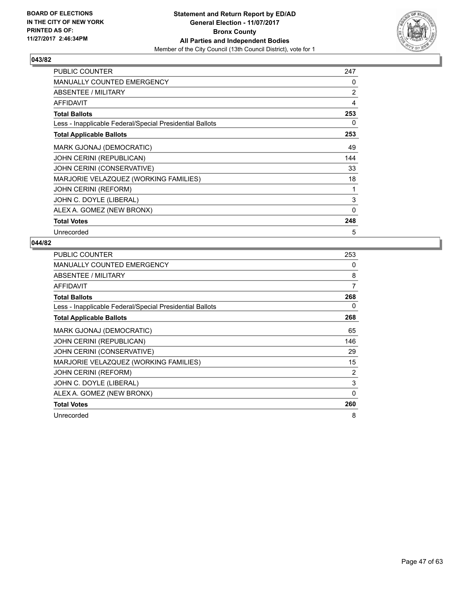

| <b>PUBLIC COUNTER</b>                                    | 247 |
|----------------------------------------------------------|-----|
| <b>MANUALLY COUNTED EMERGENCY</b>                        | 0   |
| ABSENTEE / MILITARY                                      | 2   |
| <b>AFFIDAVIT</b>                                         | 4   |
| <b>Total Ballots</b>                                     | 253 |
| Less - Inapplicable Federal/Special Presidential Ballots | 0   |
| <b>Total Applicable Ballots</b>                          | 253 |
| MARK GJONAJ (DEMOCRATIC)                                 | 49  |
| <b>JOHN CERINI (REPUBLICAN)</b>                          | 144 |
| JOHN CERINI (CONSERVATIVE)                               | 33  |
| MARJORIE VELAZQUEZ (WORKING FAMILIES)                    | 18  |
| <b>JOHN CERINI (REFORM)</b>                              | 1   |
| JOHN C. DOYLE (LIBERAL)                                  | 3   |
| ALEX A. GOMEZ (NEW BRONX)                                | 0   |
| <b>Total Votes</b>                                       | 248 |
| Unrecorded                                               | 5   |

| <b>PUBLIC COUNTER</b>                                    | 253            |
|----------------------------------------------------------|----------------|
| <b>MANUALLY COUNTED EMERGENCY</b>                        | 0              |
| ABSENTEE / MILITARY                                      | 8              |
| <b>AFFIDAVIT</b>                                         | $\overline{7}$ |
| <b>Total Ballots</b>                                     | 268            |
| Less - Inapplicable Federal/Special Presidential Ballots | 0              |
| <b>Total Applicable Ballots</b>                          | 268            |
| MARK GJONAJ (DEMOCRATIC)                                 | 65             |
| JOHN CERINI (REPUBLICAN)                                 | 146            |
| JOHN CERINI (CONSERVATIVE)                               | 29             |
| MARJORIE VELAZQUEZ (WORKING FAMILIES)                    | 15             |
| <b>JOHN CERINI (REFORM)</b>                              | $\overline{2}$ |
| JOHN C. DOYLE (LIBERAL)                                  | 3              |
| ALEX A. GOMEZ (NEW BRONX)                                | 0              |
| <b>Total Votes</b>                                       | 260            |
| Unrecorded                                               | 8              |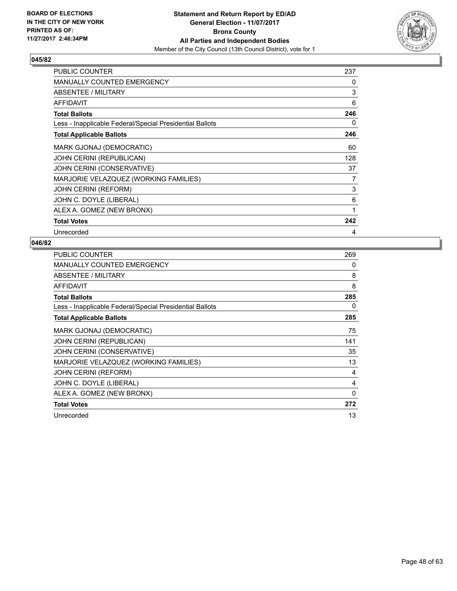

| <b>PUBLIC COUNTER</b>                                    | 237 |
|----------------------------------------------------------|-----|
| <b>MANUALLY COUNTED EMERGENCY</b>                        | 0   |
| ABSENTEE / MILITARY                                      | 3   |
| <b>AFFIDAVIT</b>                                         | 6   |
| <b>Total Ballots</b>                                     | 246 |
| Less - Inapplicable Federal/Special Presidential Ballots | 0   |
| <b>Total Applicable Ballots</b>                          | 246 |
| MARK GJONAJ (DEMOCRATIC)                                 | 60  |
| <b>JOHN CERINI (REPUBLICAN)</b>                          | 128 |
| JOHN CERINI (CONSERVATIVE)                               | 37  |
| MARJORIE VELAZQUEZ (WORKING FAMILIES)                    | 7   |
| <b>JOHN CERINI (REFORM)</b>                              | 3   |
| JOHN C. DOYLE (LIBERAL)                                  | 6   |
| ALEX A. GOMEZ (NEW BRONX)                                | 1   |
| <b>Total Votes</b>                                       | 242 |
| Unrecorded                                               | 4   |

| <b>PUBLIC COUNTER</b>                                    | 269 |
|----------------------------------------------------------|-----|
| MANUALLY COUNTED EMERGENCY                               | 0   |
| ABSENTEE / MILITARY                                      | 8   |
| <b>AFFIDAVIT</b>                                         | 8   |
| <b>Total Ballots</b>                                     | 285 |
| Less - Inapplicable Federal/Special Presidential Ballots | 0   |
| <b>Total Applicable Ballots</b>                          | 285 |
| MARK GJONAJ (DEMOCRATIC)                                 | 75  |
| JOHN CERINI (REPUBLICAN)                                 | 141 |
| JOHN CERINI (CONSERVATIVE)                               | 35  |
| MARJORIE VELAZQUEZ (WORKING FAMILIES)                    | 13  |
| <b>JOHN CERINI (REFORM)</b>                              | 4   |
| JOHN C. DOYLE (LIBERAL)                                  | 4   |
| ALEX A. GOMEZ (NEW BRONX)                                | 0   |
| <b>Total Votes</b>                                       | 272 |
| Unrecorded                                               | 13  |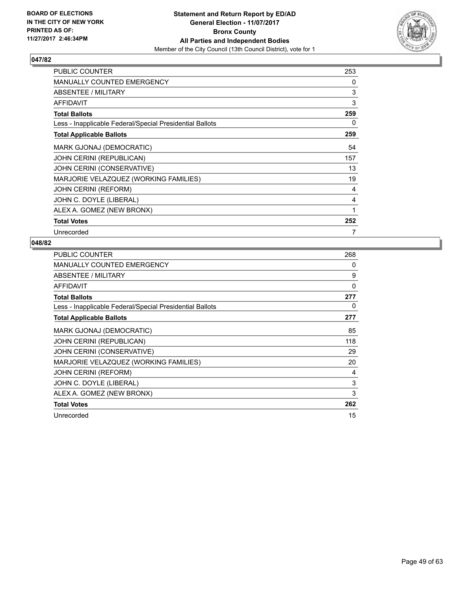

| <b>PUBLIC COUNTER</b>                                    | 253 |
|----------------------------------------------------------|-----|
| <b>MANUALLY COUNTED EMERGENCY</b>                        | 0   |
| ABSENTEE / MILITARY                                      | 3   |
| <b>AFFIDAVIT</b>                                         | 3   |
| <b>Total Ballots</b>                                     | 259 |
| Less - Inapplicable Federal/Special Presidential Ballots | 0   |
| <b>Total Applicable Ballots</b>                          | 259 |
| MARK GJONAJ (DEMOCRATIC)                                 | 54  |
| <b>JOHN CERINI (REPUBLICAN)</b>                          | 157 |
| JOHN CERINI (CONSERVATIVE)                               | 13  |
| MARJORIE VELAZQUEZ (WORKING FAMILIES)                    | 19  |
| <b>JOHN CERINI (REFORM)</b>                              | 4   |
| JOHN C. DOYLE (LIBERAL)                                  | 4   |
| ALEX A. GOMEZ (NEW BRONX)                                | 1   |
| <b>Total Votes</b>                                       | 252 |
| Unrecorded                                               | 7   |

| <b>PUBLIC COUNTER</b>                                    | 268      |
|----------------------------------------------------------|----------|
| MANUALLY COUNTED EMERGENCY                               | 0        |
| ABSENTEE / MILITARY                                      | 9        |
| <b>AFFIDAVIT</b>                                         | $\Omega$ |
| <b>Total Ballots</b>                                     | 277      |
| Less - Inapplicable Federal/Special Presidential Ballots | 0        |
| <b>Total Applicable Ballots</b>                          | 277      |
| MARK GJONAJ (DEMOCRATIC)                                 | 85       |
| JOHN CERINI (REPUBLICAN)                                 | 118      |
| JOHN CERINI (CONSERVATIVE)                               | 29       |
| MARJORIE VELAZQUEZ (WORKING FAMILIES)                    | 20       |
| <b>JOHN CERINI (REFORM)</b>                              | 4        |
| JOHN C. DOYLE (LIBERAL)                                  | 3        |
| ALEX A. GOMEZ (NEW BRONX)                                | 3        |
| <b>Total Votes</b>                                       | 262      |
| Unrecorded                                               | 15       |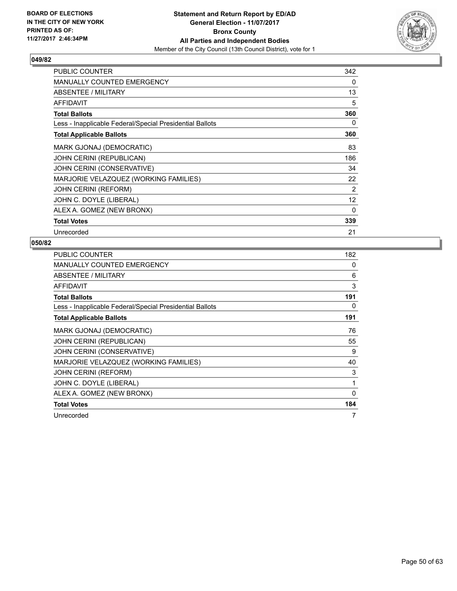

| <b>PUBLIC COUNTER</b>                                    | 342 |
|----------------------------------------------------------|-----|
| <b>MANUALLY COUNTED EMERGENCY</b>                        | 0   |
| ABSENTEE / MILITARY                                      | 13  |
| <b>AFFIDAVIT</b>                                         | 5   |
| <b>Total Ballots</b>                                     | 360 |
| Less - Inapplicable Federal/Special Presidential Ballots | 0   |
| <b>Total Applicable Ballots</b>                          | 360 |
| MARK GJONAJ (DEMOCRATIC)                                 | 83  |
| <b>JOHN CERINI (REPUBLICAN)</b>                          | 186 |
| JOHN CERINI (CONSERVATIVE)                               | 34  |
| MARJORIE VELAZQUEZ (WORKING FAMILIES)                    | 22  |
| <b>JOHN CERINI (REFORM)</b>                              | 2   |
| JOHN C. DOYLE (LIBERAL)                                  | 12  |
| ALEX A. GOMEZ (NEW BRONX)                                | 0   |
| <b>Total Votes</b>                                       | 339 |
| Unrecorded                                               | 21  |

| <b>PUBLIC COUNTER</b>                                    | 182      |
|----------------------------------------------------------|----------|
| <b>MANUALLY COUNTED EMERGENCY</b>                        | 0        |
| ABSENTEE / MILITARY                                      | 6        |
| <b>AFFIDAVIT</b>                                         | 3        |
| <b>Total Ballots</b>                                     | 191      |
| Less - Inapplicable Federal/Special Presidential Ballots | 0        |
| <b>Total Applicable Ballots</b>                          | 191      |
| MARK GJONAJ (DEMOCRATIC)                                 | 76       |
| <b>JOHN CERINI (REPUBLICAN)</b>                          | 55       |
| JOHN CERINI (CONSERVATIVE)                               | 9        |
| MARJORIE VELAZQUEZ (WORKING FAMILIES)                    | 40       |
| <b>JOHN CERINI (REFORM)</b>                              | 3        |
| JOHN C. DOYLE (LIBERAL)                                  | 1        |
| ALEX A. GOMEZ (NEW BRONX)                                | $\Omega$ |
| <b>Total Votes</b>                                       | 184      |
| Unrecorded                                               | 7        |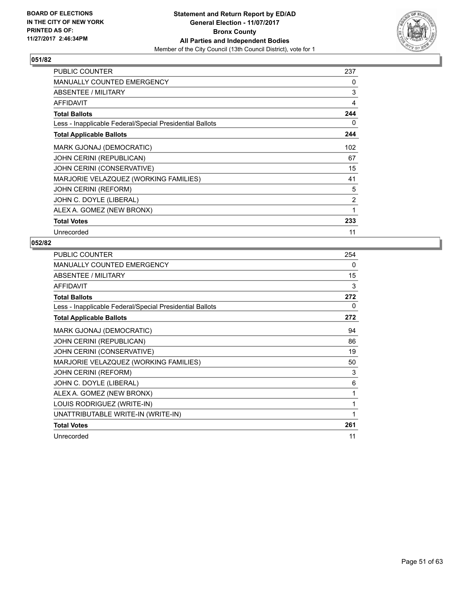

| <b>PUBLIC COUNTER</b>                                    | 237            |
|----------------------------------------------------------|----------------|
| <b>MANUALLY COUNTED EMERGENCY</b>                        | 0              |
| ABSENTEE / MILITARY                                      | 3              |
| AFFIDAVIT                                                | 4              |
| <b>Total Ballots</b>                                     | 244            |
| Less - Inapplicable Federal/Special Presidential Ballots | 0              |
| <b>Total Applicable Ballots</b>                          | 244            |
| MARK GJONAJ (DEMOCRATIC)                                 | 102            |
| JOHN CERINI (REPUBLICAN)                                 | 67             |
| JOHN CERINI (CONSERVATIVE)                               | 15             |
| MARJORIE VELAZQUEZ (WORKING FAMILIES)                    | 41             |
| <b>JOHN CERINI (REFORM)</b>                              | 5              |
| JOHN C. DOYLE (LIBERAL)                                  | $\overline{2}$ |
| ALEX A. GOMEZ (NEW BRONX)                                | 1              |
| <b>Total Votes</b>                                       | 233            |
| Unrecorded                                               | 11             |

| <b>PUBLIC COUNTER</b>                                    | 254 |
|----------------------------------------------------------|-----|
| <b>MANUALLY COUNTED EMERGENCY</b>                        | 0   |
| ABSENTEE / MILITARY                                      | 15  |
| <b>AFFIDAVIT</b>                                         | 3   |
| <b>Total Ballots</b>                                     | 272 |
| Less - Inapplicable Federal/Special Presidential Ballots | 0   |
| <b>Total Applicable Ballots</b>                          | 272 |
| MARK GJONAJ (DEMOCRATIC)                                 | 94  |
| JOHN CERINI (REPUBLICAN)                                 | 86  |
| JOHN CERINI (CONSERVATIVE)                               | 19  |
| MARJORIE VELAZQUEZ (WORKING FAMILIES)                    | 50  |
| <b>JOHN CERINI (REFORM)</b>                              | 3   |
| JOHN C. DOYLE (LIBERAL)                                  | 6   |
| ALEX A. GOMEZ (NEW BRONX)                                | 1   |
| LOUIS RODRIGUEZ (WRITE-IN)                               | 1   |
| UNATTRIBUTABLE WRITE-IN (WRITE-IN)                       | 1   |
| <b>Total Votes</b>                                       | 261 |
| Unrecorded                                               | 11  |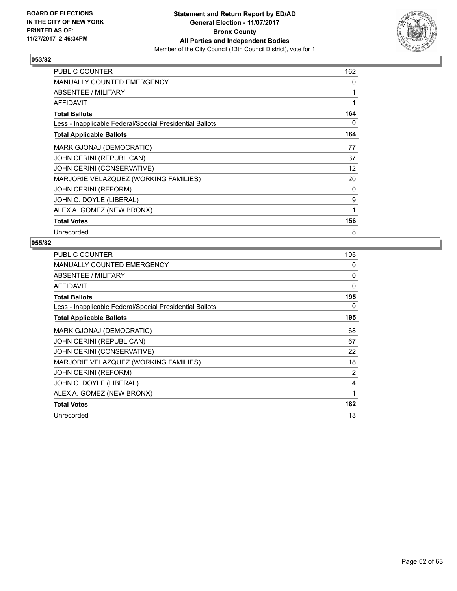

| <b>PUBLIC COUNTER</b>                                    | 162 |
|----------------------------------------------------------|-----|
| <b>MANUALLY COUNTED EMERGENCY</b>                        | 0   |
| ABSENTEE / MILITARY                                      | 1   |
| <b>AFFIDAVIT</b>                                         | 1   |
| <b>Total Ballots</b>                                     | 164 |
| Less - Inapplicable Federal/Special Presidential Ballots | 0   |
| <b>Total Applicable Ballots</b>                          | 164 |
| MARK GJONAJ (DEMOCRATIC)                                 | 77  |
| <b>JOHN CERINI (REPUBLICAN)</b>                          | 37  |
| JOHN CERINI (CONSERVATIVE)                               | 12  |
| MARJORIE VELAZQUEZ (WORKING FAMILIES)                    | 20  |
| <b>JOHN CERINI (REFORM)</b>                              | 0   |
| JOHN C. DOYLE (LIBERAL)                                  | 9   |
| ALEX A. GOMEZ (NEW BRONX)                                | 1   |
| <b>Total Votes</b>                                       | 156 |
| Unrecorded                                               | 8   |

| <b>PUBLIC COUNTER</b>                                    | 195            |
|----------------------------------------------------------|----------------|
| <b>MANUALLY COUNTED EMERGENCY</b>                        | 0              |
| ABSENTEE / MILITARY                                      | 0              |
| <b>AFFIDAVIT</b>                                         | $\Omega$       |
| <b>Total Ballots</b>                                     | 195            |
| Less - Inapplicable Federal/Special Presidential Ballots | 0              |
| <b>Total Applicable Ballots</b>                          | 195            |
| MARK GJONAJ (DEMOCRATIC)                                 | 68             |
| JOHN CERINI (REPUBLICAN)                                 | 67             |
| JOHN CERINI (CONSERVATIVE)                               | 22             |
| MARJORIE VELAZQUEZ (WORKING FAMILIES)                    | 18             |
| <b>JOHN CERINI (REFORM)</b>                              | $\overline{2}$ |
| JOHN C. DOYLE (LIBERAL)                                  | 4              |
| ALEX A. GOMEZ (NEW BRONX)                                | 1              |
| <b>Total Votes</b>                                       | 182            |
| Unrecorded                                               | 13             |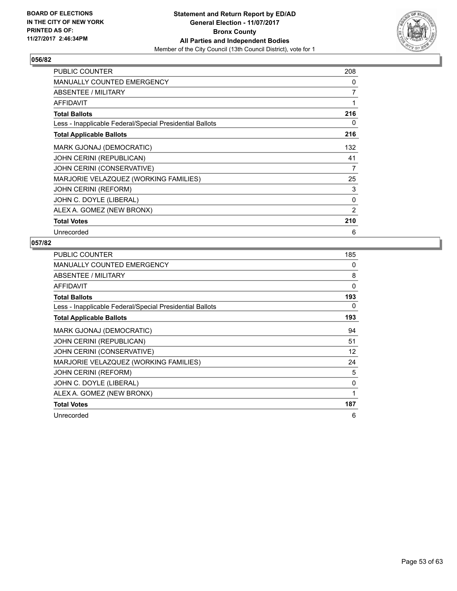

| <b>PUBLIC COUNTER</b>                                    | 208            |
|----------------------------------------------------------|----------------|
| <b>MANUALLY COUNTED EMERGENCY</b>                        | 0              |
| <b>ABSENTEE / MILITARY</b>                               | 7              |
| <b>AFFIDAVIT</b>                                         | 1              |
| <b>Total Ballots</b>                                     | 216            |
| Less - Inapplicable Federal/Special Presidential Ballots | 0              |
| <b>Total Applicable Ballots</b>                          | 216            |
| MARK GJONAJ (DEMOCRATIC)                                 | 132            |
| <b>JOHN CERINI (REPUBLICAN)</b>                          | 41             |
| JOHN CERINI (CONSERVATIVE)                               | 7              |
| MARJORIE VELAZQUEZ (WORKING FAMILIES)                    | 25             |
| <b>JOHN CERINI (REFORM)</b>                              | 3              |
| JOHN C. DOYLE (LIBERAL)                                  | 0              |
| ALEX A. GOMEZ (NEW BRONX)                                | $\overline{2}$ |
| <b>Total Votes</b>                                       | 210            |
| Unrecorded                                               | 6              |

| <b>PUBLIC COUNTER</b>                                    | 185      |
|----------------------------------------------------------|----------|
| <b>MANUALLY COUNTED EMERGENCY</b>                        | 0        |
| ABSENTEE / MILITARY                                      | 8        |
| <b>AFFIDAVIT</b>                                         | $\Omega$ |
| <b>Total Ballots</b>                                     | 193      |
| Less - Inapplicable Federal/Special Presidential Ballots | 0        |
| <b>Total Applicable Ballots</b>                          | 193      |
| MARK GJONAJ (DEMOCRATIC)                                 | 94       |
| JOHN CERINI (REPUBLICAN)                                 | 51       |
| JOHN CERINI (CONSERVATIVE)                               | 12       |
| MARJORIE VELAZQUEZ (WORKING FAMILIES)                    | 24       |
| <b>JOHN CERINI (REFORM)</b>                              | 5        |
| JOHN C. DOYLE (LIBERAL)                                  | 0        |
| ALEX A. GOMEZ (NEW BRONX)                                | 1        |
| <b>Total Votes</b>                                       | 187      |
| Unrecorded                                               | 6        |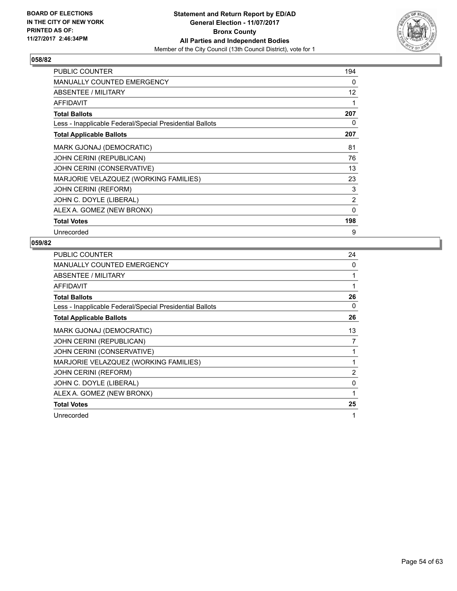

| <b>PUBLIC COUNTER</b>                                    | 194 |
|----------------------------------------------------------|-----|
| <b>MANUALLY COUNTED EMERGENCY</b>                        | 0   |
| ABSENTEE / MILITARY                                      | 12  |
| <b>AFFIDAVIT</b>                                         | 1   |
| <b>Total Ballots</b>                                     | 207 |
| Less - Inapplicable Federal/Special Presidential Ballots | 0   |
| <b>Total Applicable Ballots</b>                          | 207 |
| MARK GJONAJ (DEMOCRATIC)                                 | 81  |
| <b>JOHN CERINI (REPUBLICAN)</b>                          | 76  |
| JOHN CERINI (CONSERVATIVE)                               | 13  |
| MARJORIE VELAZQUEZ (WORKING FAMILIES)                    | 23  |
| <b>JOHN CERINI (REFORM)</b>                              | 3   |
| JOHN C. DOYLE (LIBERAL)                                  | 2   |
| ALEX A. GOMEZ (NEW BRONX)                                | 0   |
| <b>Total Votes</b>                                       | 198 |
| Unrecorded                                               | 9   |

| <b>PUBLIC COUNTER</b>                                    | 24       |
|----------------------------------------------------------|----------|
| <b>MANUALLY COUNTED EMERGENCY</b>                        | 0        |
| ABSENTEE / MILITARY                                      |          |
| <b>AFFIDAVIT</b>                                         | 1        |
| <b>Total Ballots</b>                                     | 26       |
| Less - Inapplicable Federal/Special Presidential Ballots | 0        |
| <b>Total Applicable Ballots</b>                          | 26       |
| MARK GJONAJ (DEMOCRATIC)                                 | 13       |
| JOHN CERINI (REPUBLICAN)                                 | 7        |
| JOHN CERINI (CONSERVATIVE)                               |          |
| MARJORIE VELAZQUEZ (WORKING FAMILIES)                    | 1        |
| <b>JOHN CERINI (REFORM)</b>                              | 2        |
| JOHN C. DOYLE (LIBERAL)                                  | $\Omega$ |
| ALEX A. GOMEZ (NEW BRONX)                                |          |
| <b>Total Votes</b>                                       | 25       |
| Unrecorded                                               | 1        |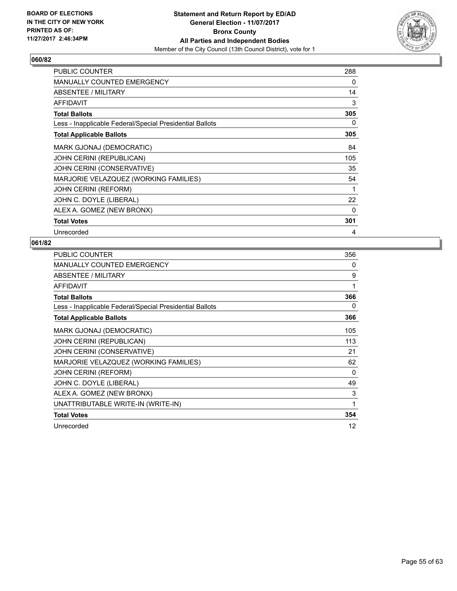

| <b>PUBLIC COUNTER</b>                                    | 288 |
|----------------------------------------------------------|-----|
| <b>MANUALLY COUNTED EMERGENCY</b>                        | 0   |
| ABSENTEE / MILITARY                                      | 14  |
| <b>AFFIDAVIT</b>                                         | 3   |
| <b>Total Ballots</b>                                     | 305 |
| Less - Inapplicable Federal/Special Presidential Ballots | 0   |
| <b>Total Applicable Ballots</b>                          | 305 |
| MARK GJONAJ (DEMOCRATIC)                                 | 84  |
| <b>JOHN CERINI (REPUBLICAN)</b>                          | 105 |
| JOHN CERINI (CONSERVATIVE)                               | 35  |
| MARJORIE VELAZQUEZ (WORKING FAMILIES)                    | 54  |
| <b>JOHN CERINI (REFORM)</b>                              | 1   |
| JOHN C. DOYLE (LIBERAL)                                  | 22  |
| ALEX A. GOMEZ (NEW BRONX)                                | 0   |
| <b>Total Votes</b>                                       | 301 |
| Unrecorded                                               | 4   |

| <b>PUBLIC COUNTER</b>                                    | 356 |
|----------------------------------------------------------|-----|
| <b>MANUALLY COUNTED EMERGENCY</b>                        | 0   |
| ABSENTEE / MILITARY                                      | 9   |
| <b>AFFIDAVIT</b>                                         | 1   |
| <b>Total Ballots</b>                                     | 366 |
| Less - Inapplicable Federal/Special Presidential Ballots | 0   |
| <b>Total Applicable Ballots</b>                          | 366 |
| MARK GJONAJ (DEMOCRATIC)                                 | 105 |
| JOHN CERINI (REPUBLICAN)                                 | 113 |
| JOHN CERINI (CONSERVATIVE)                               | 21  |
| MARJORIE VELAZQUEZ (WORKING FAMILIES)                    | 62  |
| <b>JOHN CERINI (REFORM)</b>                              | 0   |
| JOHN C. DOYLE (LIBERAL)                                  | 49  |
| ALEX A. GOMEZ (NEW BRONX)                                | 3   |
| UNATTRIBUTABLE WRITE-IN (WRITE-IN)                       | 1   |
| <b>Total Votes</b>                                       | 354 |
| Unrecorded                                               | 12  |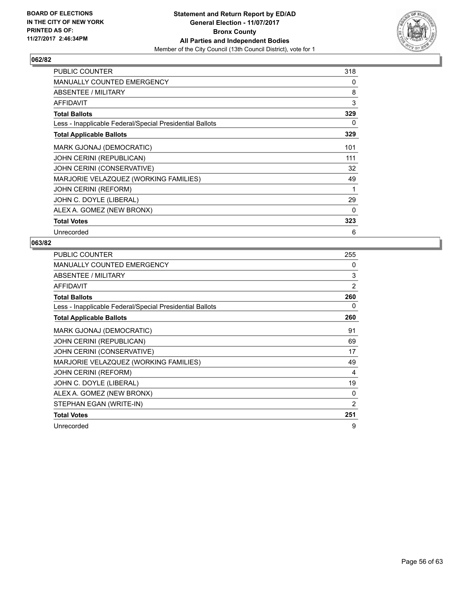

| <b>PUBLIC COUNTER</b>                                    | 318 |
|----------------------------------------------------------|-----|
| <b>MANUALLY COUNTED EMERGENCY</b>                        | 0   |
| ABSENTEE / MILITARY                                      | 8   |
| <b>AFFIDAVIT</b>                                         | 3   |
| <b>Total Ballots</b>                                     | 329 |
| Less - Inapplicable Federal/Special Presidential Ballots | 0   |
| <b>Total Applicable Ballots</b>                          | 329 |
| MARK GJONAJ (DEMOCRATIC)                                 | 101 |
| <b>JOHN CERINI (REPUBLICAN)</b>                          | 111 |
| JOHN CERINI (CONSERVATIVE)                               | 32  |
| MARJORIE VELAZQUEZ (WORKING FAMILIES)                    | 49  |
| <b>JOHN CERINI (REFORM)</b>                              | 1   |
| JOHN C. DOYLE (LIBERAL)                                  | 29  |
| ALEX A. GOMEZ (NEW BRONX)                                | 0   |
| <b>Total Votes</b>                                       | 323 |
| Unrecorded                                               | 6   |

| <b>PUBLIC COUNTER</b>                                    | 255      |
|----------------------------------------------------------|----------|
| <b>MANUALLY COUNTED EMERGENCY</b>                        | 0        |
| ABSENTEE / MILITARY                                      | 3        |
| <b>AFFIDAVIT</b>                                         | 2        |
| <b>Total Ballots</b>                                     | 260      |
| Less - Inapplicable Federal/Special Presidential Ballots | 0        |
| <b>Total Applicable Ballots</b>                          | 260      |
| MARK GJONAJ (DEMOCRATIC)                                 | 91       |
| JOHN CERINI (REPUBLICAN)                                 | 69       |
| JOHN CERINI (CONSERVATIVE)                               | 17       |
| MARJORIE VELAZQUEZ (WORKING FAMILIES)                    | 49       |
| <b>JOHN CERINI (REFORM)</b>                              | 4        |
| JOHN C. DOYLE (LIBERAL)                                  | 19       |
| ALEX A. GOMEZ (NEW BRONX)                                | $\Omega$ |
| STEPHAN EGAN (WRITE-IN)                                  | 2        |
| <b>Total Votes</b>                                       | 251      |
| Unrecorded                                               | 9        |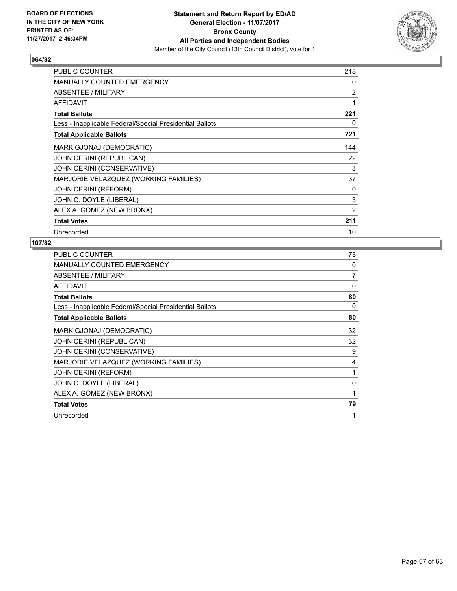

| <b>PUBLIC COUNTER</b>                                    | 218            |
|----------------------------------------------------------|----------------|
| <b>MANUALLY COUNTED EMERGENCY</b>                        | 0              |
| ABSENTEE / MILITARY                                      | $\overline{2}$ |
| <b>AFFIDAVIT</b>                                         | $\mathbf{1}$   |
| <b>Total Ballots</b>                                     | 221            |
| Less - Inapplicable Federal/Special Presidential Ballots | 0              |
| <b>Total Applicable Ballots</b>                          | 221            |
| MARK GJONAJ (DEMOCRATIC)                                 | 144            |
| JOHN CERINI (REPUBLICAN)                                 | 22             |
| JOHN CERINI (CONSERVATIVE)                               | 3              |
| MARJORIE VELAZQUEZ (WORKING FAMILIES)                    | 37             |
| <b>JOHN CERINI (REFORM)</b>                              | 0              |
| JOHN C. DOYLE (LIBERAL)                                  | 3              |
| ALEX A. GOMEZ (NEW BRONX)                                | 2              |
| <b>Total Votes</b>                                       | 211            |
| Unrecorded                                               | 10             |

| <b>PUBLIC COUNTER</b>                                    | 73       |
|----------------------------------------------------------|----------|
| <b>MANUALLY COUNTED EMERGENCY</b>                        | 0        |
| ABSENTEE / MILITARY                                      | 7        |
| <b>AFFIDAVIT</b>                                         | $\Omega$ |
| <b>Total Ballots</b>                                     | 80       |
| Less - Inapplicable Federal/Special Presidential Ballots | 0        |
| <b>Total Applicable Ballots</b>                          | 80       |
| MARK GJONAJ (DEMOCRATIC)                                 | 32       |
| <b>JOHN CERINI (REPUBLICAN)</b>                          | 32       |
| JOHN CERINI (CONSERVATIVE)                               | 9        |
| MARJORIE VELAZQUEZ (WORKING FAMILIES)                    | 4        |
| <b>JOHN CERINI (REFORM)</b>                              | 1        |
| JOHN C. DOYLE (LIBERAL)                                  | $\Omega$ |
| ALEX A. GOMEZ (NEW BRONX)                                |          |
| <b>Total Votes</b>                                       | 79       |
| Unrecorded                                               | 1        |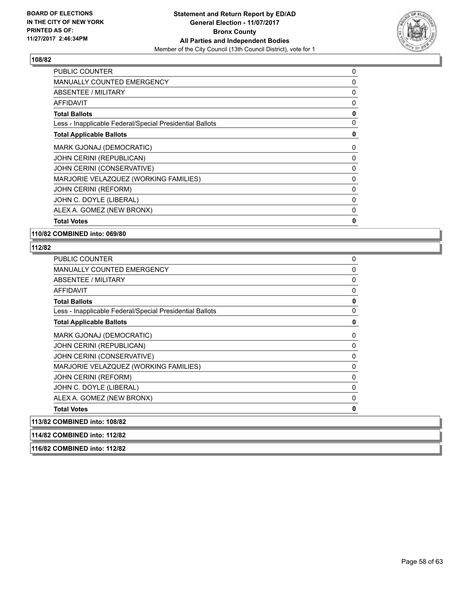

| <b>PUBLIC COUNTER</b>                                    | 0        |
|----------------------------------------------------------|----------|
| MANUALLY COUNTED EMERGENCY                               | 0        |
| ABSENTEE / MILITARY                                      | 0        |
| AFFIDAVIT                                                | 0        |
| <b>Total Ballots</b>                                     | 0        |
| Less - Inapplicable Federal/Special Presidential Ballots | 0        |
| <b>Total Applicable Ballots</b>                          | 0        |
| MARK GJONAJ (DEMOCRATIC)                                 | 0        |
| JOHN CERINI (REPUBLICAN)                                 | 0        |
| JOHN CERINI (CONSERVATIVE)                               | 0        |
| MARJORIE VELAZQUEZ (WORKING FAMILIES)                    | 0        |
| <b>JOHN CERINI (REFORM)</b>                              | $\Omega$ |
| JOHN C. DOYLE (LIBERAL)                                  | 0        |
| ALEX A. GOMEZ (NEW BRONX)                                | 0        |
| <b>Total Votes</b>                                       | 0        |

**110/82 COMBINED into: 069/80**

## **112/82**

| PUBLIC COUNTER                                           | 0        |
|----------------------------------------------------------|----------|
| <b>MANUALLY COUNTED EMERGENCY</b>                        | 0        |
| ABSENTEE / MILITARY                                      | 0        |
| <b>AFFIDAVIT</b>                                         | 0        |
| <b>Total Ballots</b>                                     | 0        |
| Less - Inapplicable Federal/Special Presidential Ballots | 0        |
| <b>Total Applicable Ballots</b>                          | 0        |
| MARK GJONAJ (DEMOCRATIC)                                 | 0        |
| <b>JOHN CERINI (REPUBLICAN)</b>                          | 0        |
| JOHN CERINI (CONSERVATIVE)                               | 0        |
| MARJORIE VELAZQUEZ (WORKING FAMILIES)                    | 0        |
| <b>JOHN CERINI (REFORM)</b>                              | $\Omega$ |
| JOHN C. DOYLE (LIBERAL)                                  | 0        |
| ALEX A. GOMEZ (NEW BRONX)                                | $\Omega$ |
| <b>Total Votes</b>                                       | 0        |
| 113/82 COMBINED into: 108/82                             |          |

**114/82 COMBINED into: 112/82**

**116/82 COMBINED into: 112/82**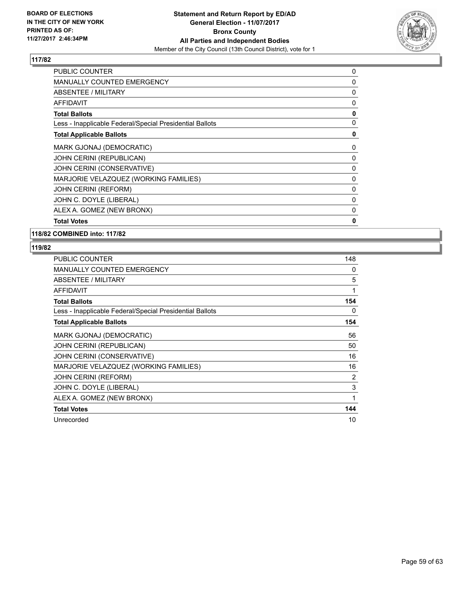

| 0            |
|--------------|
| 0            |
| 0            |
| 0            |
| 0            |
| 0            |
| 0            |
| 0            |
| 0            |
| 0            |
| 0            |
| 0            |
| $\mathbf{0}$ |
| 0            |
| 0            |
|              |

**118/82 COMBINED into: 117/82**

| <b>PUBLIC COUNTER</b>                                    | 148            |
|----------------------------------------------------------|----------------|
| <b>MANUALLY COUNTED EMERGENCY</b>                        | 0              |
| ABSENTEE / MILITARY                                      | 5              |
| <b>AFFIDAVIT</b>                                         | 1              |
| <b>Total Ballots</b>                                     | 154            |
| Less - Inapplicable Federal/Special Presidential Ballots | 0              |
| <b>Total Applicable Ballots</b>                          | 154            |
| MARK GJONAJ (DEMOCRATIC)                                 | 56             |
| JOHN CERINI (REPUBLICAN)                                 | 50             |
| JOHN CERINI (CONSERVATIVE)                               | 16             |
| MARJORIE VELAZQUEZ (WORKING FAMILIES)                    | 16             |
| <b>JOHN CERINI (REFORM)</b>                              | $\overline{2}$ |
| JOHN C. DOYLE (LIBERAL)                                  | 3              |
| ALEX A. GOMEZ (NEW BRONX)                                | 1              |
| <b>Total Votes</b>                                       | 144            |
| Unrecorded                                               | 10             |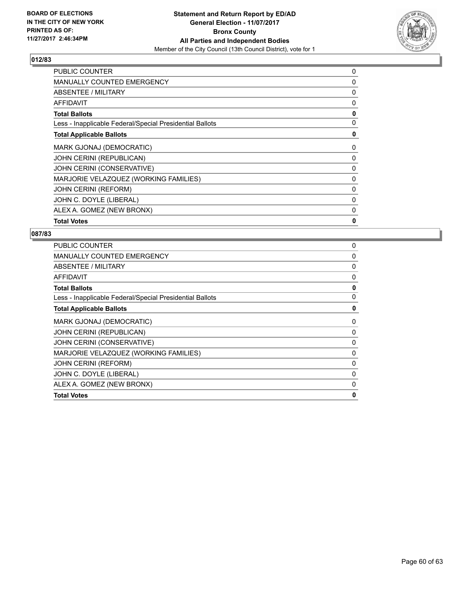

| PUBLIC COUNTER                                           | 0 |
|----------------------------------------------------------|---|
| MANUALLY COUNTED EMERGENCY                               | 0 |
| ABSENTEE / MILITARY                                      | 0 |
| <b>AFFIDAVIT</b>                                         | 0 |
| <b>Total Ballots</b>                                     | 0 |
| Less - Inapplicable Federal/Special Presidential Ballots | 0 |
| <b>Total Applicable Ballots</b>                          | 0 |
| MARK GJONAJ (DEMOCRATIC)                                 | 0 |
| JOHN CERINI (REPUBLICAN)                                 | 0 |
| JOHN CERINI (CONSERVATIVE)                               | 0 |
| MARJORIE VELAZQUEZ (WORKING FAMILIES)                    | 0 |
| <b>JOHN CERINI (REFORM)</b>                              | 0 |
| JOHN C. DOYLE (LIBERAL)                                  | 0 |
| ALEX A. GOMEZ (NEW BRONX)                                | 0 |
| <b>Total Votes</b>                                       | 0 |

| <b>PUBLIC COUNTER</b>                                    | 0 |
|----------------------------------------------------------|---|
| <b>MANUALLY COUNTED EMERGENCY</b>                        | 0 |
| ABSENTEE / MILITARY                                      | 0 |
| <b>AFFIDAVIT</b>                                         | 0 |
| <b>Total Ballots</b>                                     | 0 |
| Less - Inapplicable Federal/Special Presidential Ballots | 0 |
| <b>Total Applicable Ballots</b>                          | 0 |
| MARK GJONAJ (DEMOCRATIC)                                 | 0 |
| JOHN CERINI (REPUBLICAN)                                 | 0 |
| JOHN CERINI (CONSERVATIVE)                               | 0 |
| MARJORIE VELAZQUEZ (WORKING FAMILIES)                    | 0 |
| <b>JOHN CERINI (REFORM)</b>                              | 0 |
| JOHN C. DOYLE (LIBERAL)                                  | 0 |
| ALEX A. GOMEZ (NEW BRONX)                                | 0 |
| <b>Total Votes</b>                                       | 0 |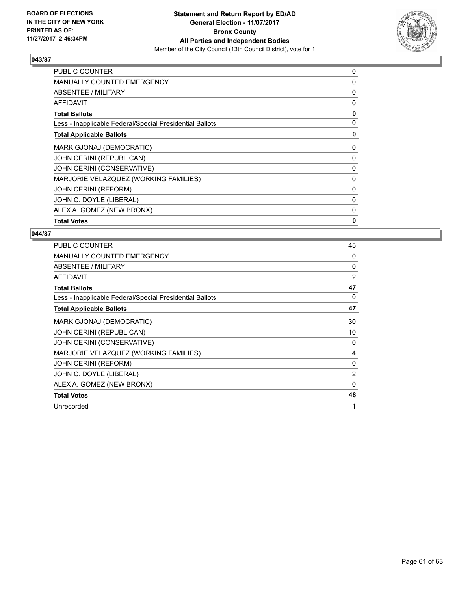

| <b>PUBLIC COUNTER</b>                                    | 0            |
|----------------------------------------------------------|--------------|
| <b>MANUALLY COUNTED EMERGENCY</b>                        | 0            |
| ABSENTEE / MILITARY                                      | 0            |
| <b>AFFIDAVIT</b>                                         | 0            |
| <b>Total Ballots</b>                                     | $\mathbf{0}$ |
| Less - Inapplicable Federal/Special Presidential Ballots | 0            |
| <b>Total Applicable Ballots</b>                          | 0            |
| MARK GJONAJ (DEMOCRATIC)                                 | 0            |
| JOHN CERINI (REPUBLICAN)                                 | 0            |
| JOHN CERINI (CONSERVATIVE)                               | 0            |
| MARJORIE VELAZQUEZ (WORKING FAMILIES)                    | 0            |
| <b>JOHN CERINI (REFORM)</b>                              | 0            |
| JOHN C. DOYLE (LIBERAL)                                  | 0            |
| ALEX A. GOMEZ (NEW BRONX)                                | 0            |
| <b>Total Votes</b>                                       | 0            |

| <b>PUBLIC COUNTER</b>                                    | 45       |
|----------------------------------------------------------|----------|
| <b>MANUALLY COUNTED EMERGENCY</b>                        | 0        |
| ABSENTEE / MILITARY                                      | 0        |
| <b>AFFIDAVIT</b>                                         | 2        |
| <b>Total Ballots</b>                                     | 47       |
| Less - Inapplicable Federal/Special Presidential Ballots | 0        |
| <b>Total Applicable Ballots</b>                          | 47       |
| MARK GJONAJ (DEMOCRATIC)                                 | 30       |
| <b>JOHN CERINI (REPUBLICAN)</b>                          | 10       |
| JOHN CERINI (CONSERVATIVE)                               | 0        |
| MARJORIE VELAZQUEZ (WORKING FAMILIES)                    | 4        |
| <b>JOHN CERINI (REFORM)</b>                              | $\Omega$ |
| JOHN C. DOYLE (LIBERAL)                                  | 2        |
| ALEX A. GOMEZ (NEW BRONX)                                | 0        |
| <b>Total Votes</b>                                       | 46       |
| Unrecorded                                               | 1        |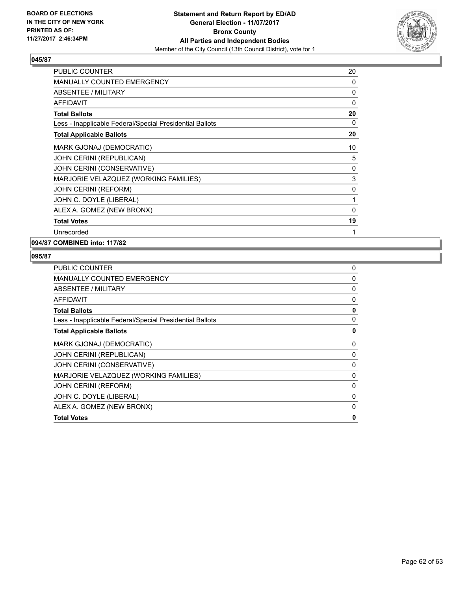

| PUBLIC COUNTER                                           | 20          |
|----------------------------------------------------------|-------------|
| MANUALLY COUNTED EMERGENCY                               | 0           |
| <b>ABSENTEE / MILITARY</b>                               | 0           |
| <b>AFFIDAVIT</b>                                         | $\Omega$    |
| <b>Total Ballots</b>                                     | 20          |
| Less - Inapplicable Federal/Special Presidential Ballots | 0           |
| <b>Total Applicable Ballots</b>                          | 20          |
| MARK GJONAJ (DEMOCRATIC)                                 | 10          |
| JOHN CERINI (REPUBLICAN)                                 | 5           |
| JOHN CERINI (CONSERVATIVE)                               | $\Omega$    |
| MARJORIE VELAZQUEZ (WORKING FAMILIES)                    | 3           |
| <b>JOHN CERINI (REFORM)</b>                              | 0           |
| JOHN C. DOYLE (LIBERAL)                                  | 1           |
| ALEX A. GOMEZ (NEW BRONX)                                | $\mathbf 0$ |
| <b>Total Votes</b>                                       | 19          |
| Unrecorded                                               | 1           |

## **094/87 COMBINED into: 117/82**

| 0<br>0<br>0<br>0<br><b>Total Ballots</b><br>0<br>0<br><b>Total Applicable Ballots</b><br>0<br>0<br>0<br>$\Omega$<br>0<br>0<br>0<br>0<br><b>Total Votes</b> | <b>PUBLIC COUNTER</b>                                    | 0 |
|------------------------------------------------------------------------------------------------------------------------------------------------------------|----------------------------------------------------------|---|
|                                                                                                                                                            | MANUALLY COUNTED EMERGENCY                               |   |
|                                                                                                                                                            | ABSENTEE / MILITARY                                      |   |
|                                                                                                                                                            | AFFIDAVIT                                                |   |
|                                                                                                                                                            |                                                          |   |
|                                                                                                                                                            | Less - Inapplicable Federal/Special Presidential Ballots |   |
|                                                                                                                                                            |                                                          |   |
|                                                                                                                                                            | MARK GJONAJ (DEMOCRATIC)                                 |   |
|                                                                                                                                                            | JOHN CERINI (REPUBLICAN)                                 |   |
|                                                                                                                                                            | JOHN CERINI (CONSERVATIVE)                               |   |
|                                                                                                                                                            | MARJORIE VELAZQUEZ (WORKING FAMILIES)                    |   |
|                                                                                                                                                            | <b>JOHN CERINI (REFORM)</b>                              |   |
|                                                                                                                                                            | JOHN C. DOYLE (LIBERAL)                                  |   |
|                                                                                                                                                            | ALEX A. GOMEZ (NEW BRONX)                                |   |
|                                                                                                                                                            |                                                          |   |